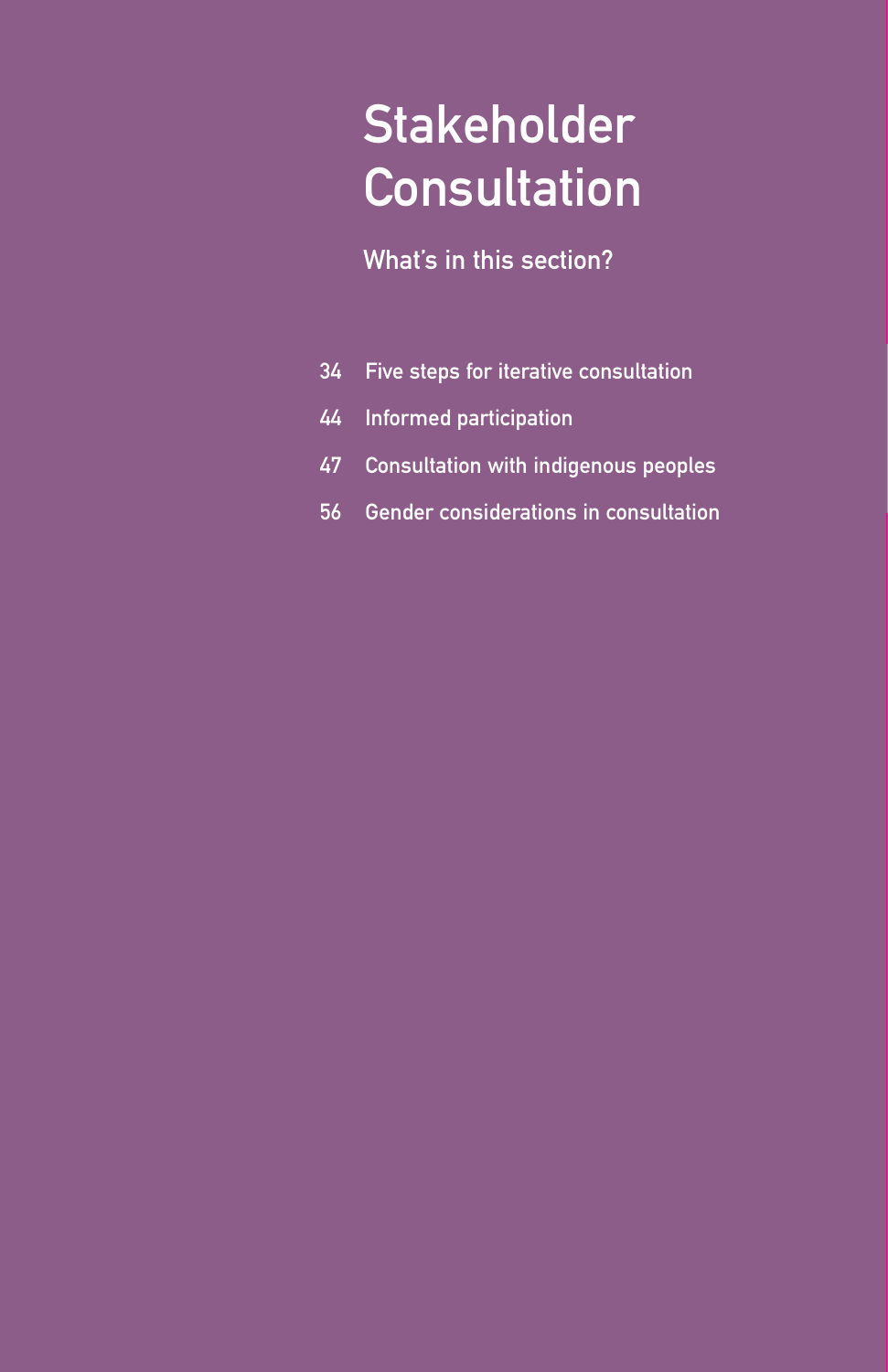# **Stakeholder Consultation**

What's in this section?

- 34 Five steps for iterative consultation
- 44 Informed participation
- 47 Consultation with indigenous peoples
- 56 Gender considerations in consultation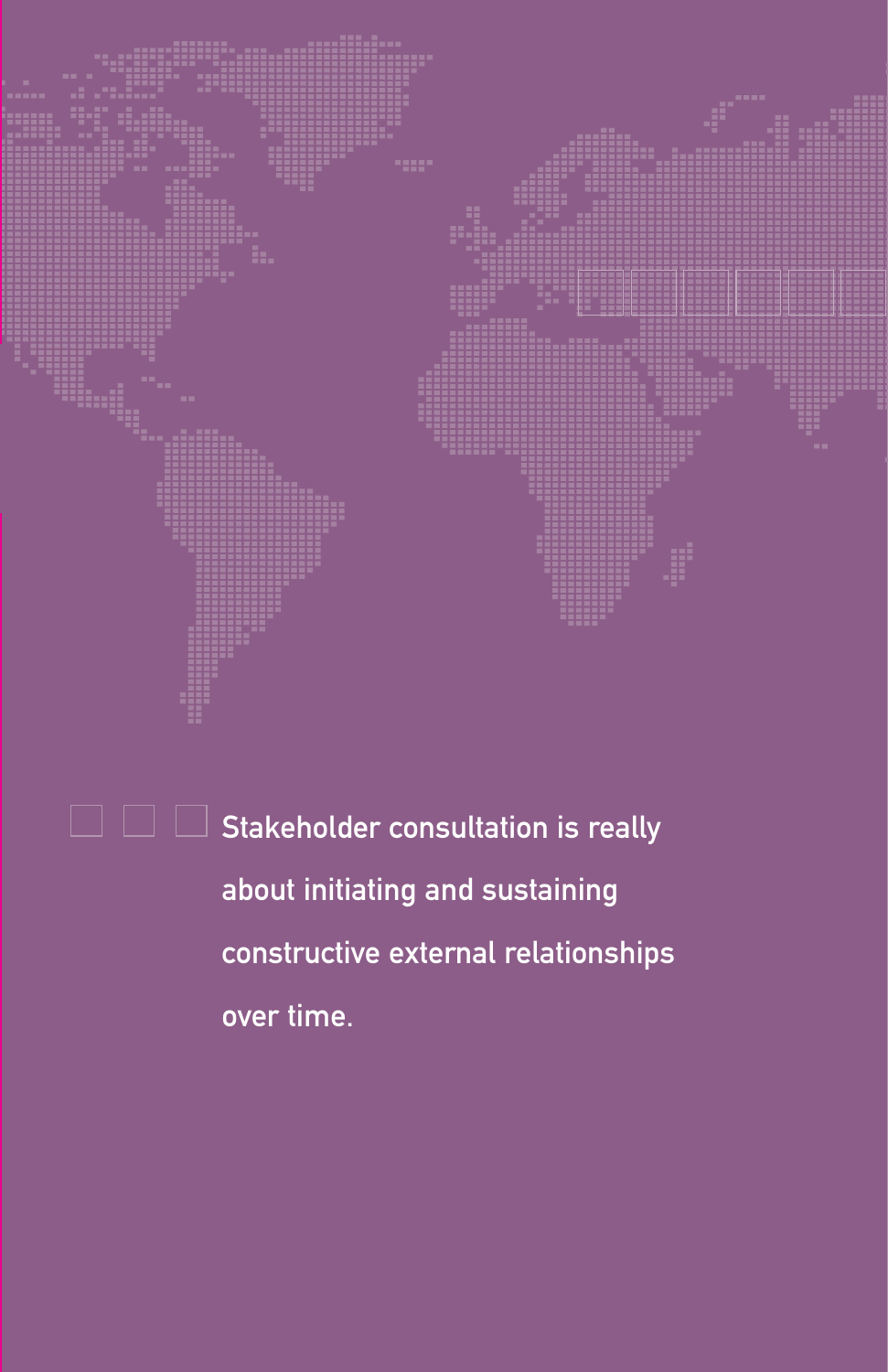

 $\Box$  $\Box$  Stakeholder consultation is really about initiating and sustaining constructive external relationships over time.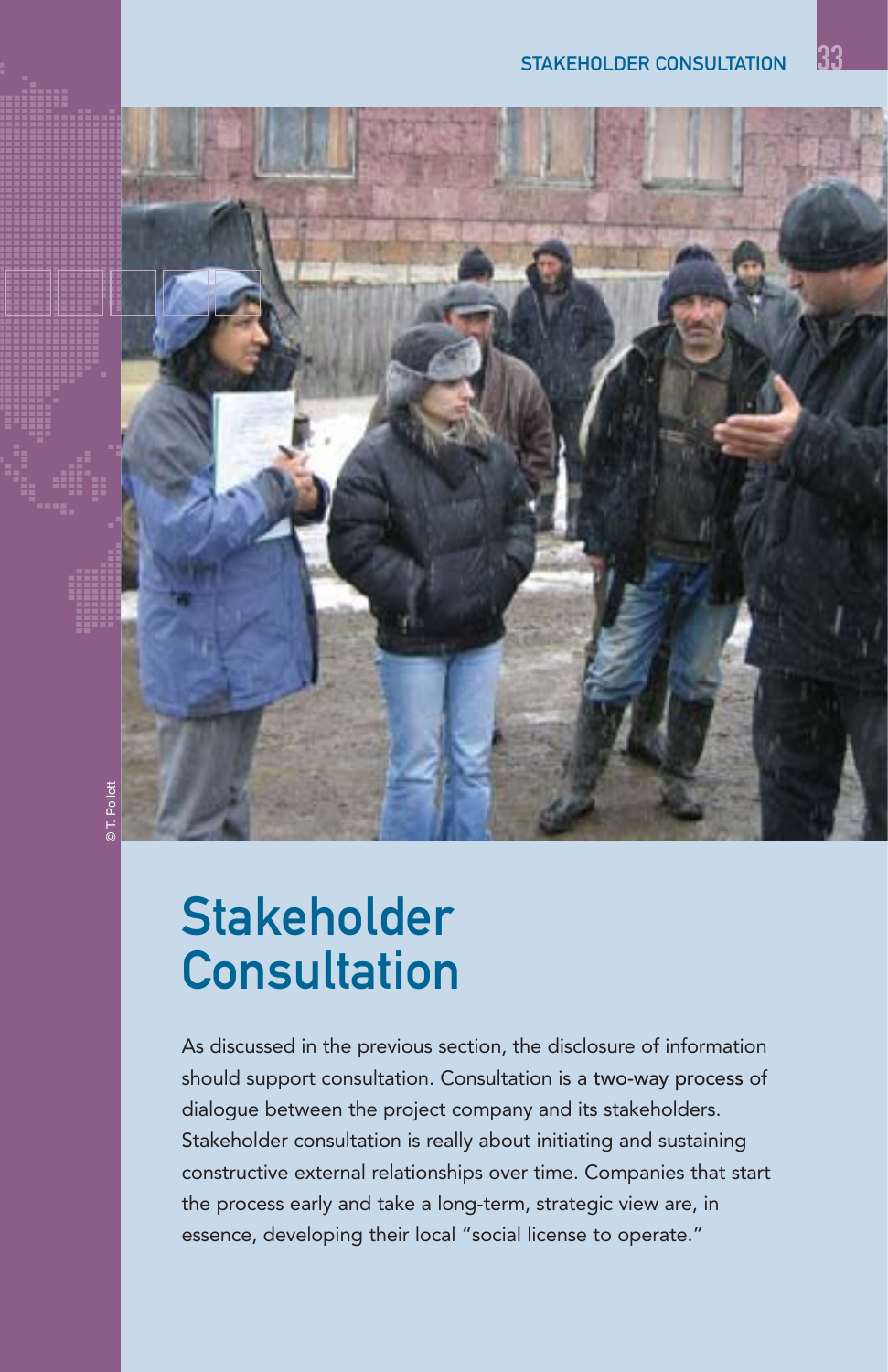

# **Stakeholder Consultation**

As discussed in the previous section, the disclosure of information should support consultation. Consultation is a two-way process of dialogue between the project company and its stakeholders. Stakeholder consultation is really about initiating and sustaining constructive external relationships over time. Companies that start the process early and take a long-term, strategic view are, in essence, developing their local "social license to operate."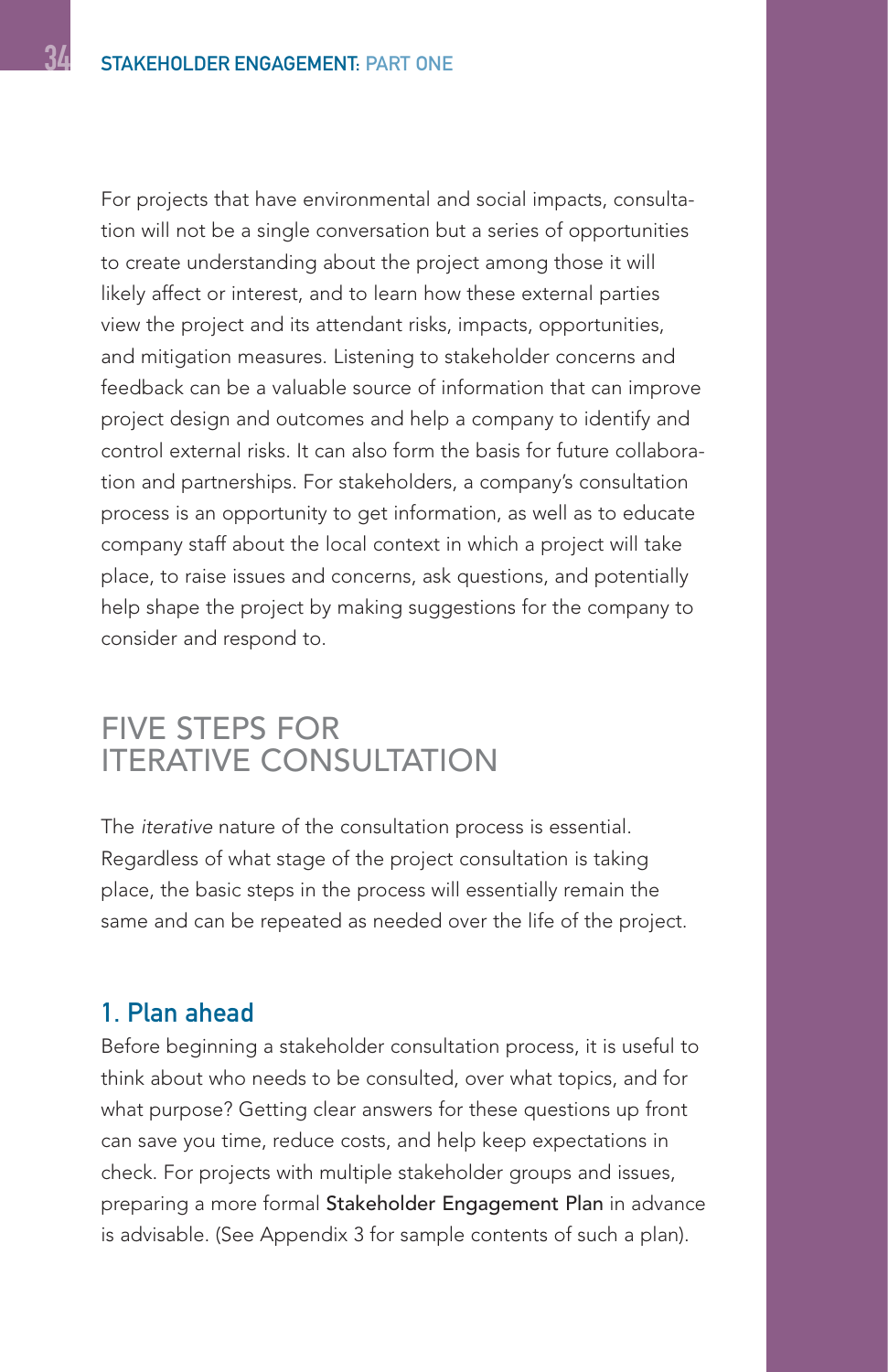For projects that have environmental and social impacts, consultation will not be a single conversation but a series of opportunities to create understanding about the project among those it will likely affect or interest, and to learn how these external parties view the project and its attendant risks, impacts, opportunities, and mitigation measures. Listening to stakeholder concerns and feedback can be a valuable source of information that can improve project design and outcomes and help a company to identify and control external risks. It can also form the basis for future collaboration and partnerships. For stakeholders, a company's consultation process is an opportunity to get information, as well as to educate company staff about the local context in which a project will take place, to raise issues and concerns, ask questions, and potentially help shape the project by making suggestions for the company to consider and respond to.

### FIVE STEPS FOR ITERATIVE CONSULTATION

The iterative nature of the consultation process is essential. Regardless of what stage of the project consultation is taking place, the basic steps in the process will essentially remain the same and can be repeated as needed over the life of the project.

### 1. Plan ahead

Before beginning a stakeholder consultation process, it is useful to think about who needs to be consulted, over what topics, and for what purpose? Getting clear answers for these questions up front can save you time, reduce costs, and help keep expectations in check. For projects with multiple stakeholder groups and issues, preparing a more formal Stakeholder Engagement Plan in advance is advisable. (See Appendix 3 for sample contents of such a plan).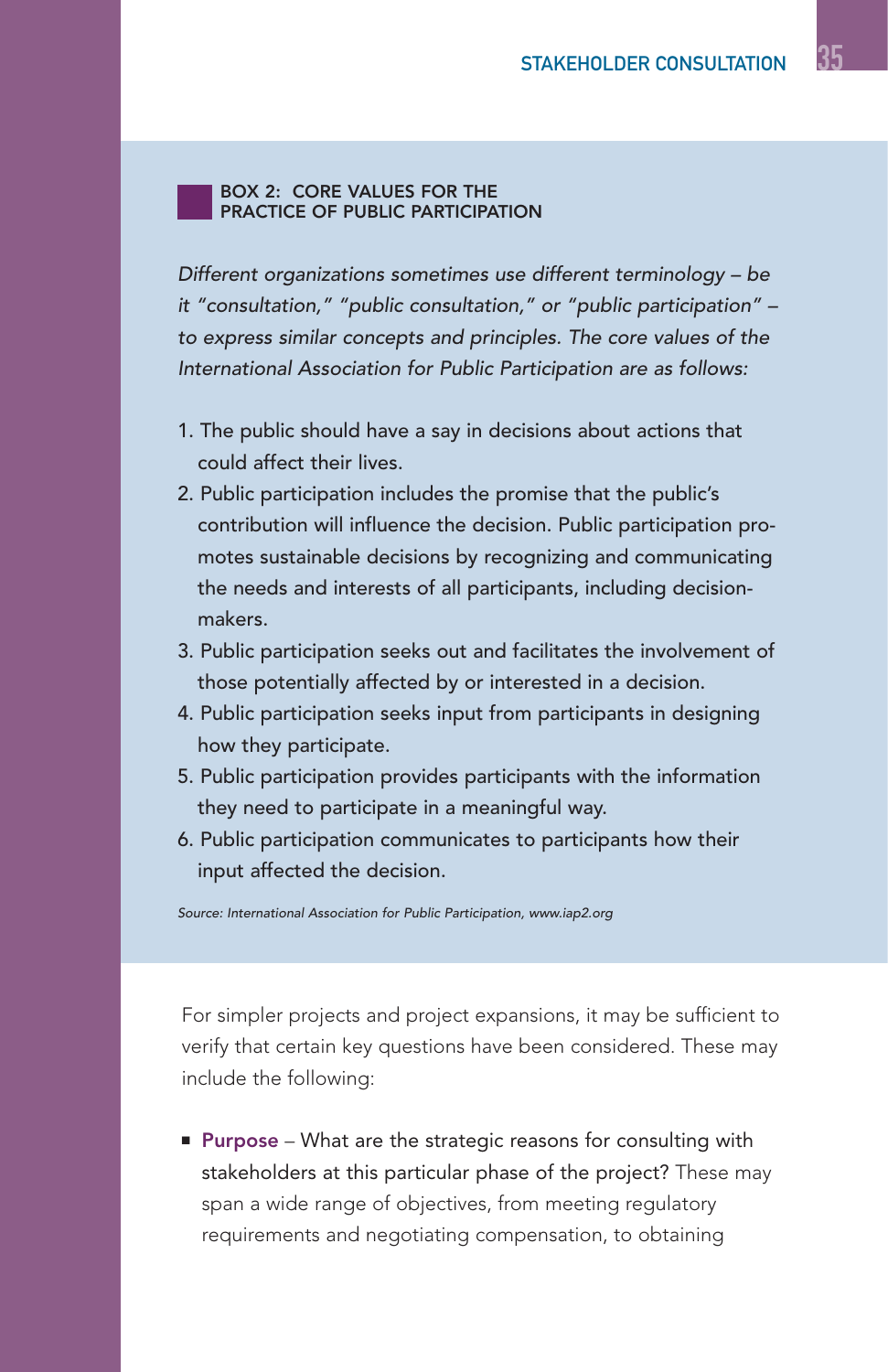#### BOX 2: CORE VALUES FOR THE PRACTICE OF PUBLIC PARTICIPATION

Different organizations sometimes use different terminology – be it "consultation," "public consultation," or "public participation" – to express similar concepts and principles. The core values of the International Association for Public Participation are as follows:

- 1. The public should have a say in decisions about actions that could affect their lives.
- 2. Public participation includes the promise that the public's contribution will influence the decision. Public participation promotes sustainable decisions by recognizing and communicating the needs and interests of all participants, including decisionmakers.
- 3. Public participation seeks out and facilitates the involvement of those potentially affected by or interested in a decision.
- 4. Public participation seeks input from participants in designing how they participate.
- 5. Public participation provides participants with the information they need to participate in a meaningful way.
- 6. Public participation communicates to participants how their input affected the decision.

Source: International Association for Public Participation, www.iap2.org

For simpler projects and project expansions, it may be sufficient to verify that certain key questions have been considered. These may include the following:

■ Purpose – What are the strategic reasons for consulting with stakeholders at this particular phase of the project? These may span a wide range of objectives, from meeting regulatory requirements and negotiating compensation, to obtaining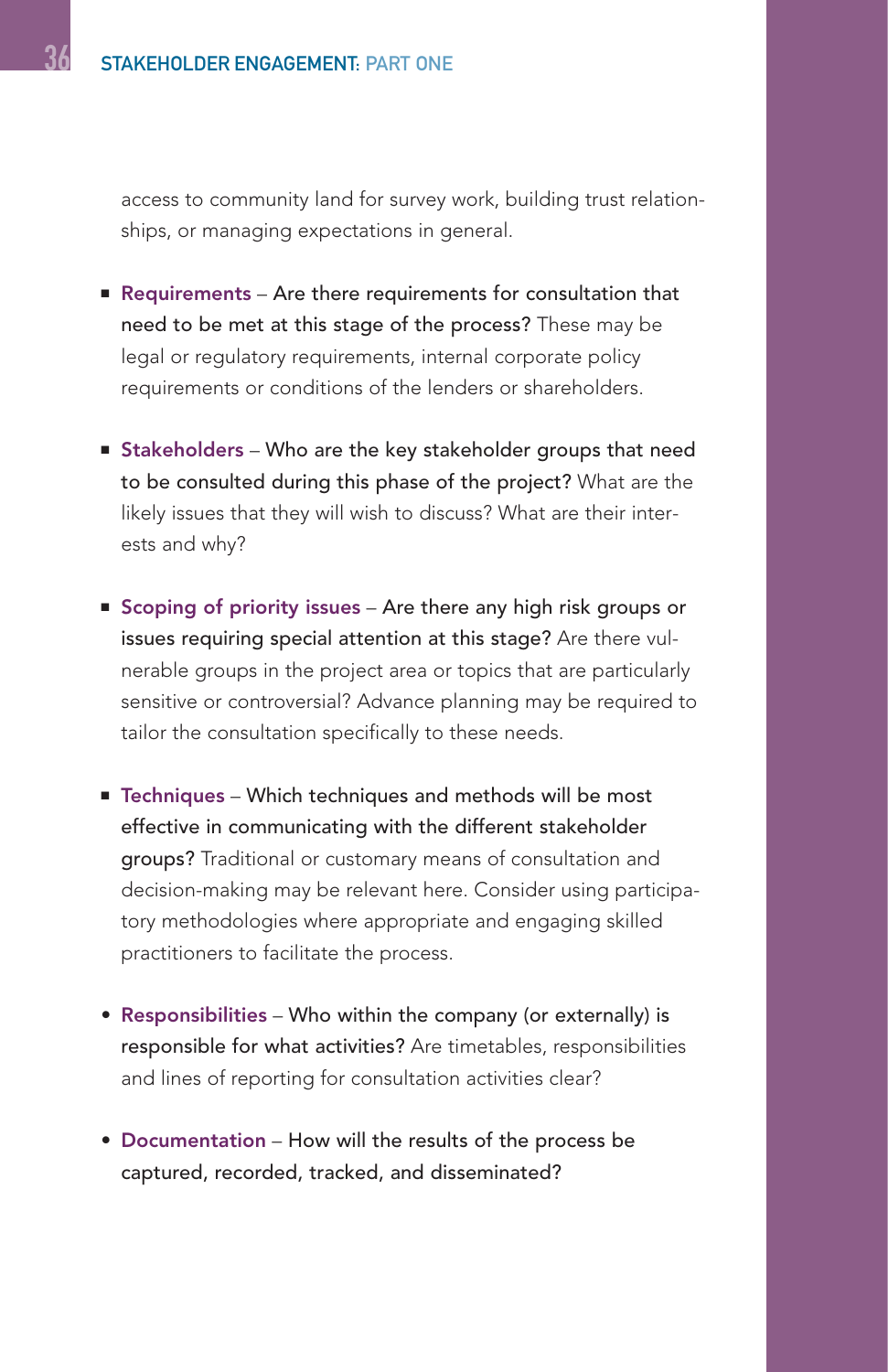access to community land for survey work, building trust relationships, or managing expectations in general.

- Requirements Are there requirements for consultation that need to be met at this stage of the process? These may be legal or regulatory requirements, internal corporate policy requirements or conditions of the lenders or shareholders.
- Stakeholders Who are the key stakeholder groups that need to be consulted during this phase of the project? What are the likely issues that they will wish to discuss? What are their interests and why?
- Scoping of priority issues Are there any high risk groups or issues requiring special attention at this stage? Are there vulnerable groups in the project area or topics that are particularly sensitive or controversial? Advance planning may be required to tailor the consultation specifically to these needs.
- Techniques Which techniques and methods will be most effective in communicating with the different stakeholder groups? Traditional or customary means of consultation and decision-making may be relevant here. Consider using participatory methodologies where appropriate and engaging skilled practitioners to facilitate the process.
- Responsibilities Who within the company (or externally) is responsible for what activities? Are timetables, responsibilities and lines of reporting for consultation activities clear?
- Documentation How will the results of the process be captured, recorded, tracked, and disseminated?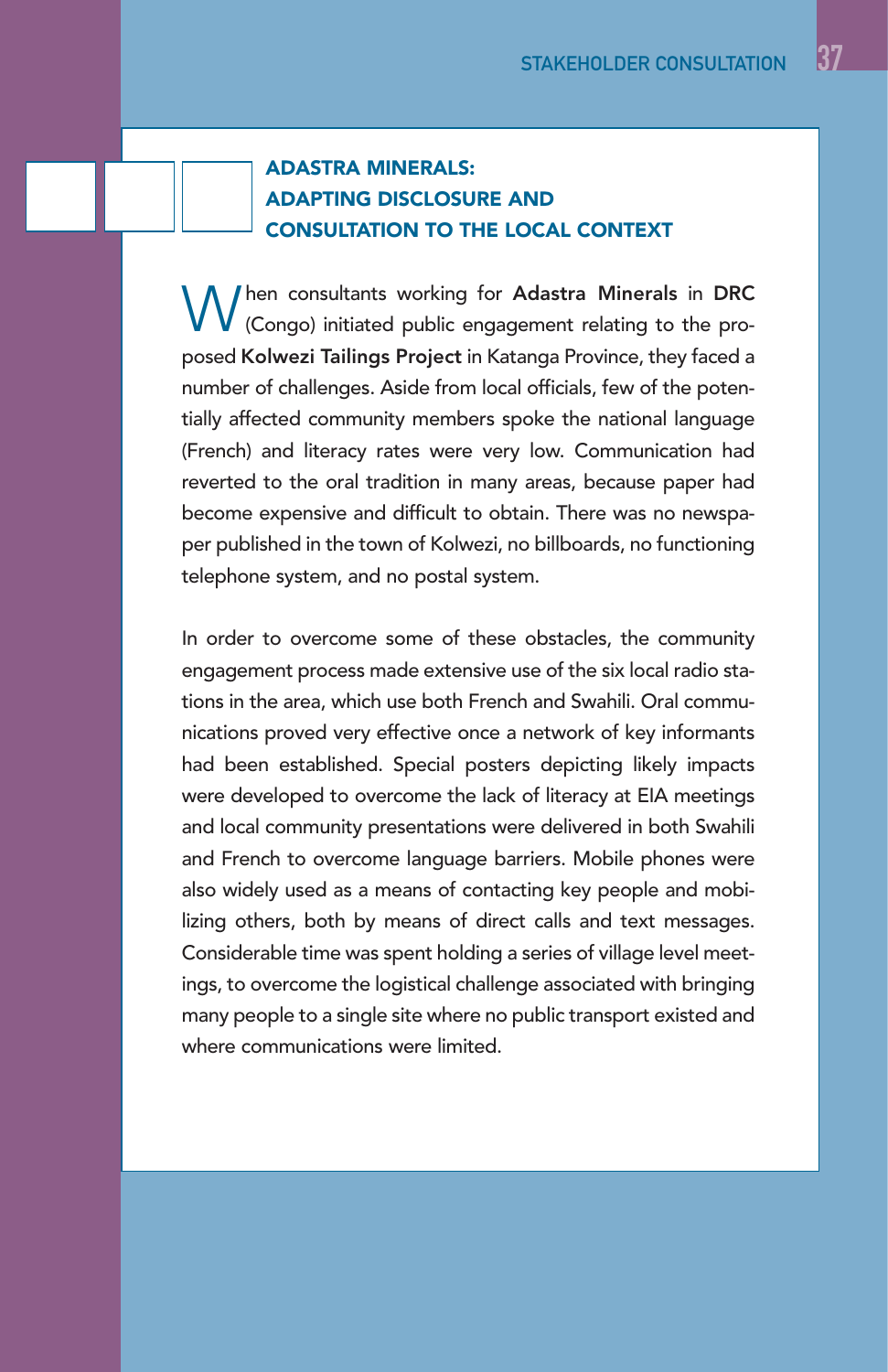### ADASTRA MINERALS: ADAPTING DISCLOSURE AND CONSULTATION TO THE LOCAL CONTEXT

W hen consultants working for Adastra Minerals in DRC<br>(Congo) initiated public engagement relating to the proposed Kolwezi Tailings Project in Katanga Province, they faced a number of challenges. Aside from local officials, few of the potentially affected community members spoke the national language (French) and literacy rates were very low. Communication had reverted to the oral tradition in many areas, because paper had become expensive and difficult to obtain. There was no newspaper published in the town of Kolwezi, no billboards, no functioning telephone system, and no postal system.

In order to overcome some of these obstacles, the community engagement process made extensive use of the six local radio stations in the area, which use both French and Swahili. Oral communications proved very effective once a network of key informants had been established. Special posters depicting likely impacts were developed to overcome the lack of literacy at EIA meetings and local community presentations were delivered in both Swahili and French to overcome language barriers. Mobile phones were also widely used as a means of contacting key people and mobilizing others, both by means of direct calls and text messages. Considerable time was spent holding a series of village level meetings, to overcome the logistical challenge associated with bringing many people to a single site where no public transport existed and where communications were limited.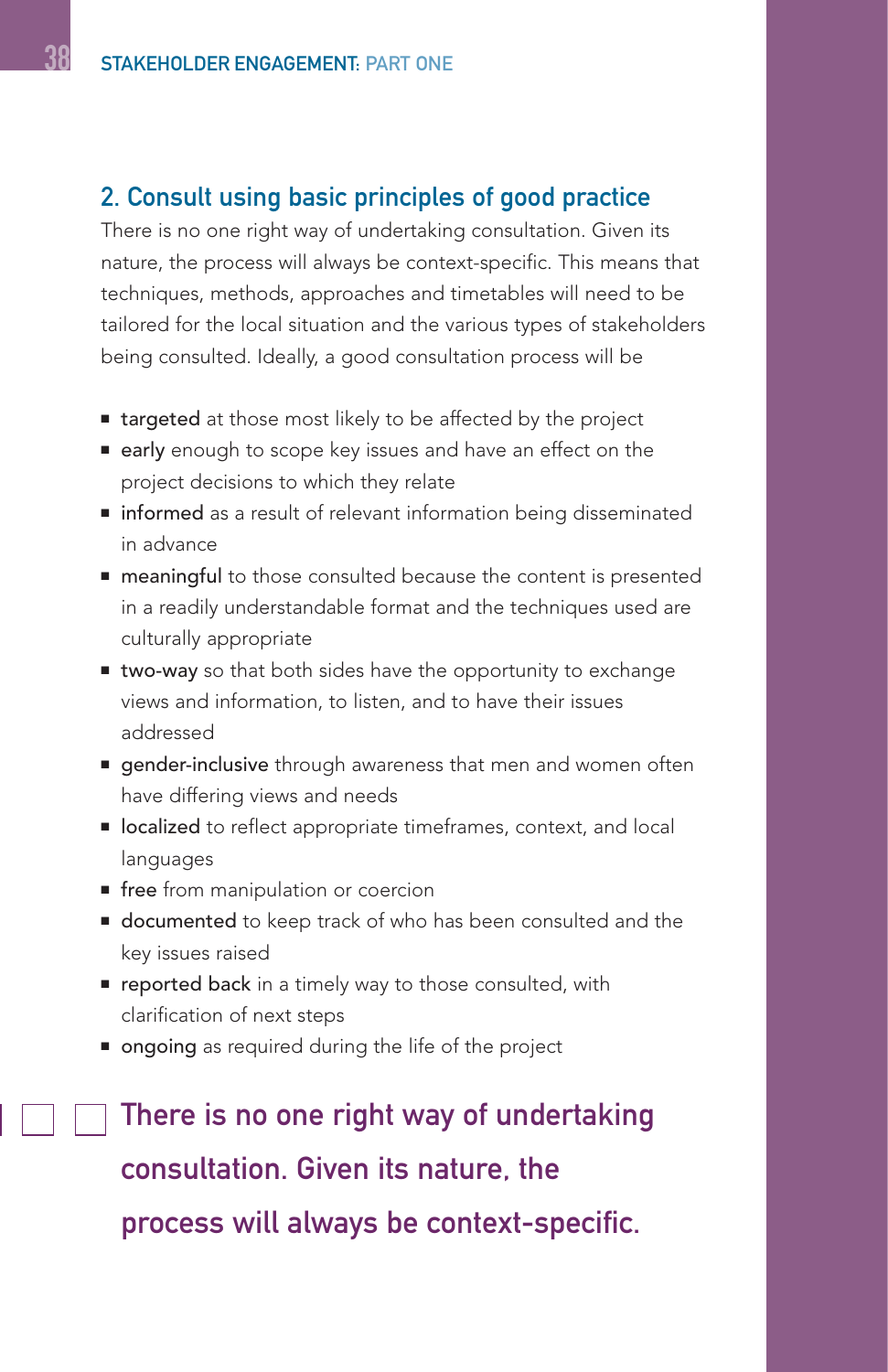#### 2. Consult using basic principles of good practice

There is no one right way of undertaking consultation. Given its nature, the process will always be context-specific. This means that techniques, methods, approaches and timetables will need to be tailored for the local situation and the various types of stakeholders being consulted. Ideally, a good consultation process will be

- targeted at those most likely to be affected by the project
- early enough to scope key issues and have an effect on the project decisions to which they relate
- informed as a result of relevant information being disseminated in advance
- meaningful to those consulted because the content is presented in a readily understandable format and the techniques used are culturally appropriate
- two-way so that both sides have the opportunity to exchange views and information, to listen, and to have their issues addressed
- gender-inclusive through awareness that men and women often have differing views and needs
- localized to reflect appropriate timeframes, context, and local languages
- free from manipulation or coercion
- documented to keep track of who has been consulted and the key issues raised
- reported back in a timely way to those consulted, with clarification of next steps
- ongoing as required during the life of the project

There is no one right way of undertaking consultation. Given its nature, the process will always be context-specific.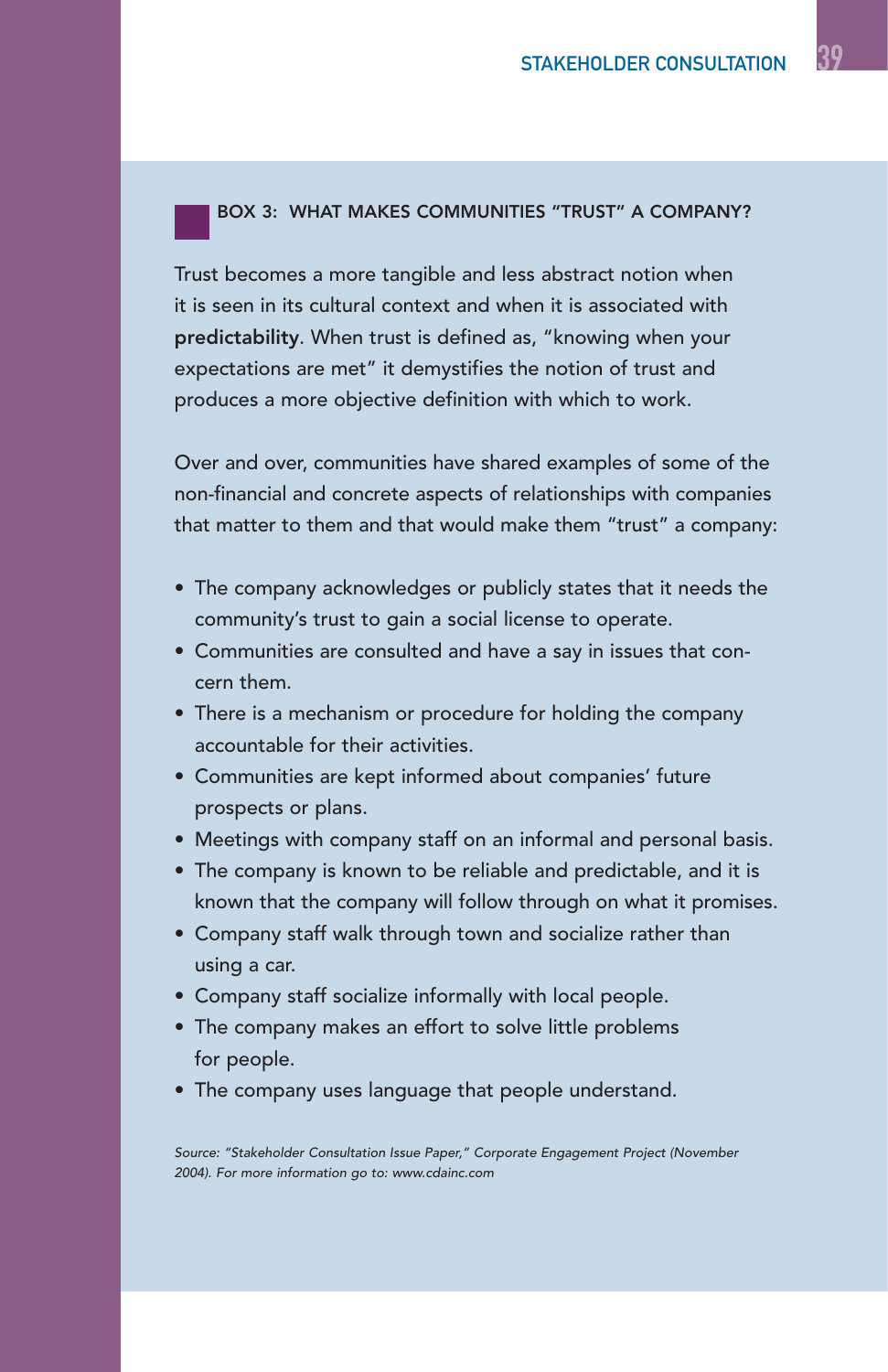#### BOX 3: WHAT MAKES COMMUNITIES "TRUST" A COMPANY?

Trust becomes a more tangible and less abstract notion when it is seen in its cultural context and when it is associated with predictability. When trust is defined as, "knowing when your expectations are met" it demystifies the notion of trust and produces a more objective definition with which to work.

Over and over, communities have shared examples of some of the non-financial and concrete aspects of relationships with companies that matter to them and that would make them "trust" a company:

- The company acknowledges or publicly states that it needs the community's trust to gain a social license to operate.
- Communities are consulted and have a say in issues that concern them.
- There is a mechanism or procedure for holding the company accountable for their activities.
- Communities are kept informed about companies' future prospects or plans.
- Meetings with company staff on an informal and personal basis.
- The company is known to be reliable and predictable, and it is known that the company will follow through on what it promises.
- Company staff walk through town and socialize rather than using a car.
- Company staff socialize informally with local people.
- The company makes an effort to solve little problems for people.
- The company uses language that people understand.

Source: "Stakeholder Consultation Issue Paper," Corporate Engagement Project (November 2004). For more information go to: www.cdainc.com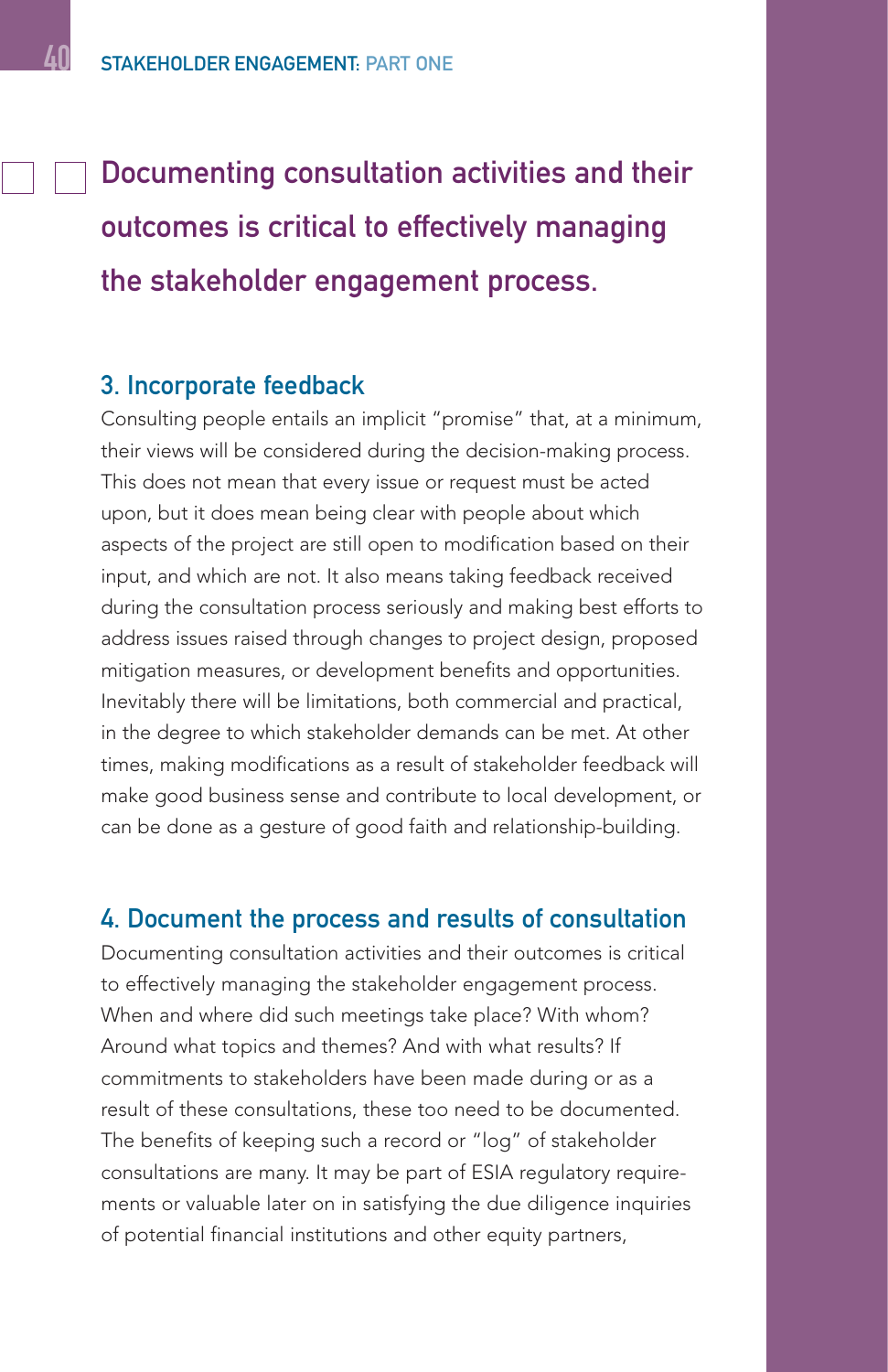Documenting consultation activities and their outcomes is critical to effectively managing the stakeholder engagement process.

#### 3. Incorporate feedback

Consulting people entails an implicit "promise" that, at a minimum, their views will be considered during the decision-making process. This does not mean that every issue or request must be acted upon, but it does mean being clear with people about which aspects of the project are still open to modification based on their input, and which are not. It also means taking feedback received during the consultation process seriously and making best efforts to address issues raised through changes to project design, proposed mitigation measures, or development benefits and opportunities. Inevitably there will be limitations, both commercial and practical, in the degree to which stakeholder demands can be met. At other times, making modifications as a result of stakeholder feedback will make good business sense and contribute to local development, or can be done as a gesture of good faith and relationship-building.

#### 4. Document the process and results of consultation

Documenting consultation activities and their outcomes is critical to effectively managing the stakeholder engagement process. When and where did such meetings take place? With whom? Around what topics and themes? And with what results? If commitments to stakeholders have been made during or as a result of these consultations, these too need to be documented. The benefits of keeping such a record or "log" of stakeholder consultations are many. It may be part of ESIA regulatory requirements or valuable later on in satisfying the due diligence inquiries of potential financial institutions and other equity partners,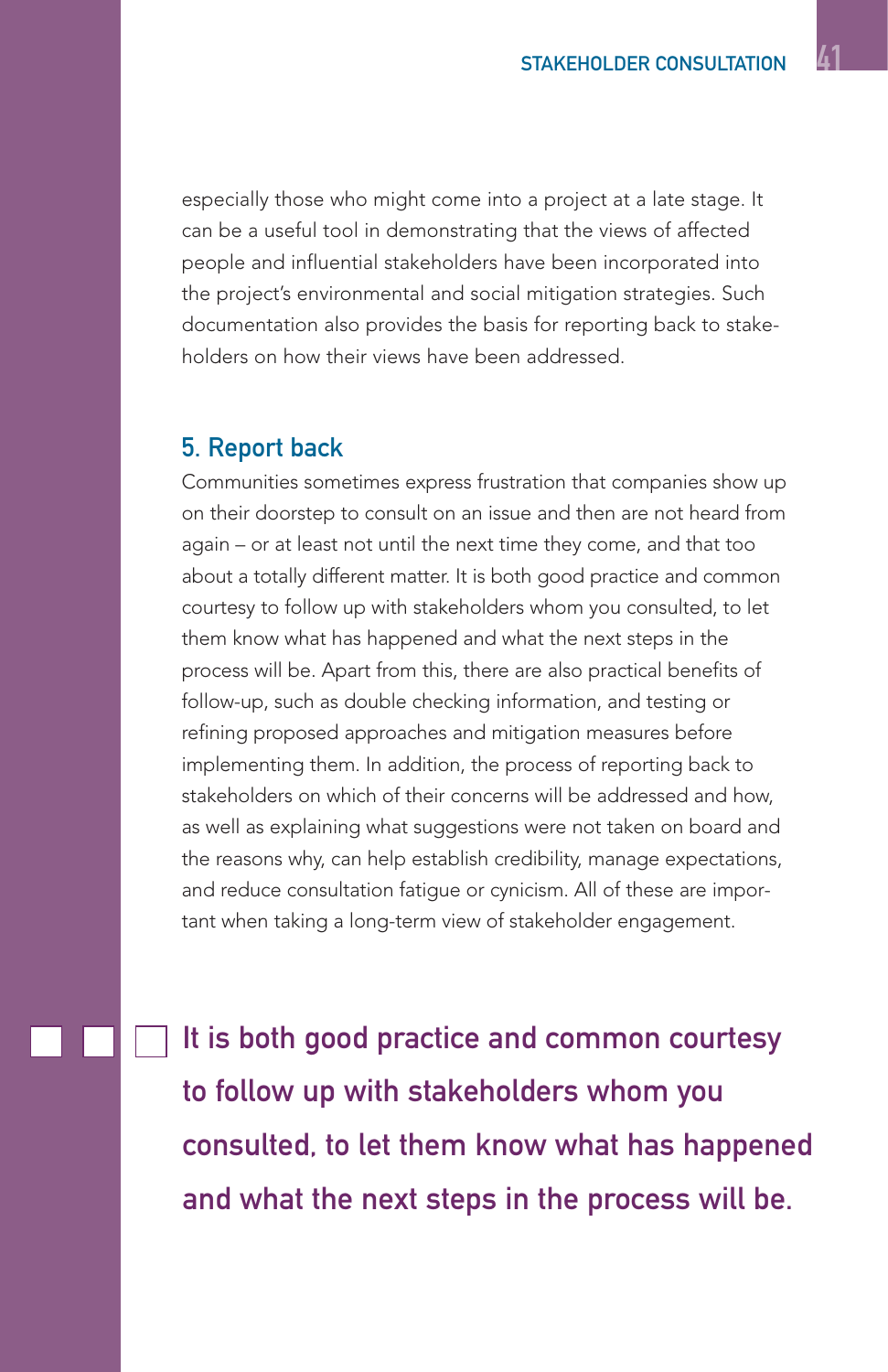especially those who might come into a project at a late stage. It can be a useful tool in demonstrating that the views of affected people and influential stakeholders have been incorporated into the project's environmental and social mitigation strategies. Such documentation also provides the basis for reporting back to stakeholders on how their views have been addressed.

### 5. Report back

Communities sometimes express frustration that companies show up on their doorstep to consult on an issue and then are not heard from again – or at least not until the next time they come, and that too about a totally different matter. It is both good practice and common courtesy to follow up with stakeholders whom you consulted, to let them know what has happened and what the next steps in the process will be. Apart from this, there are also practical benefits of follow-up, such as double checking information, and testing or refining proposed approaches and mitigation measures before implementing them. In addition, the process of reporting back to stakeholders on which of their concerns will be addressed and how, as well as explaining what suggestions were not taken on board and the reasons why, can help establish credibility, manage expectations, and reduce consultation fatigue or cynicism. All of these are important when taking a long-term view of stakeholder engagement.

It is both good practice and common courtesy to follow up with stakeholders whom you consulted, to let them know what has happened and what the next steps in the process will be.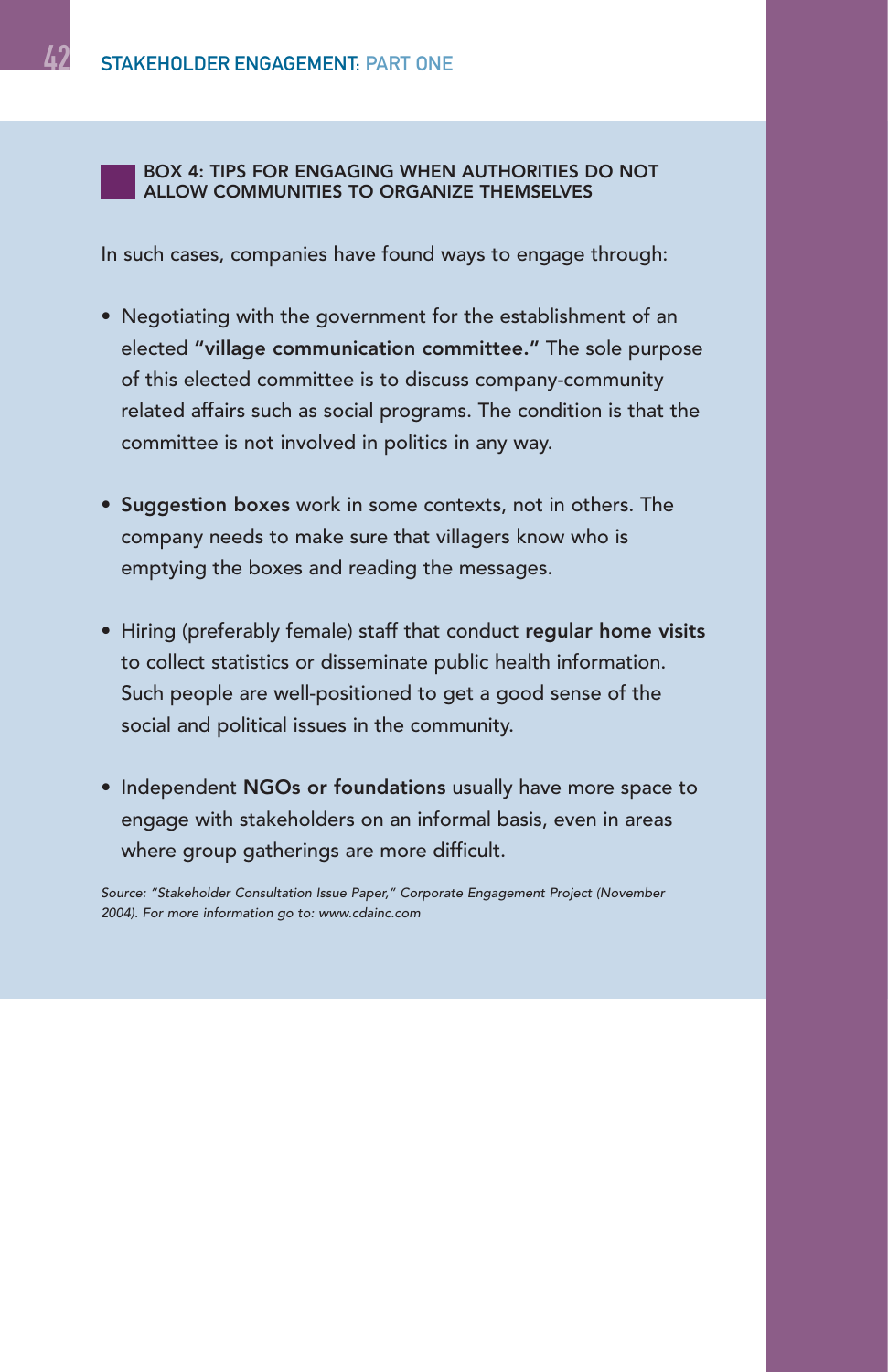BOX 4: TIPS FOR ENGAGING WHEN AUTHORITIES DO NOT ALLOW COMMUNITIES TO ORGANIZE THEMSELVES

In such cases, companies have found ways to engage through:

- Negotiating with the government for the establishment of an elected "village communication committee." The sole purpose of this elected committee is to discuss company-community related affairs such as social programs. The condition is that the committee is not involved in politics in any way.
- Suggestion boxes work in some contexts, not in others. The company needs to make sure that villagers know who is emptying the boxes and reading the messages.
- Hiring (preferably female) staff that conduct regular home visits to collect statistics or disseminate public health information. Such people are well-positioned to get a good sense of the social and political issues in the community.
- Independent NGOs or foundations usually have more space to engage with stakeholders on an informal basis, even in areas where group gatherings are more difficult.

Source: "Stakeholder Consultation Issue Paper," Corporate Engagement Project (November 2004). For more information go to: www.cdainc.com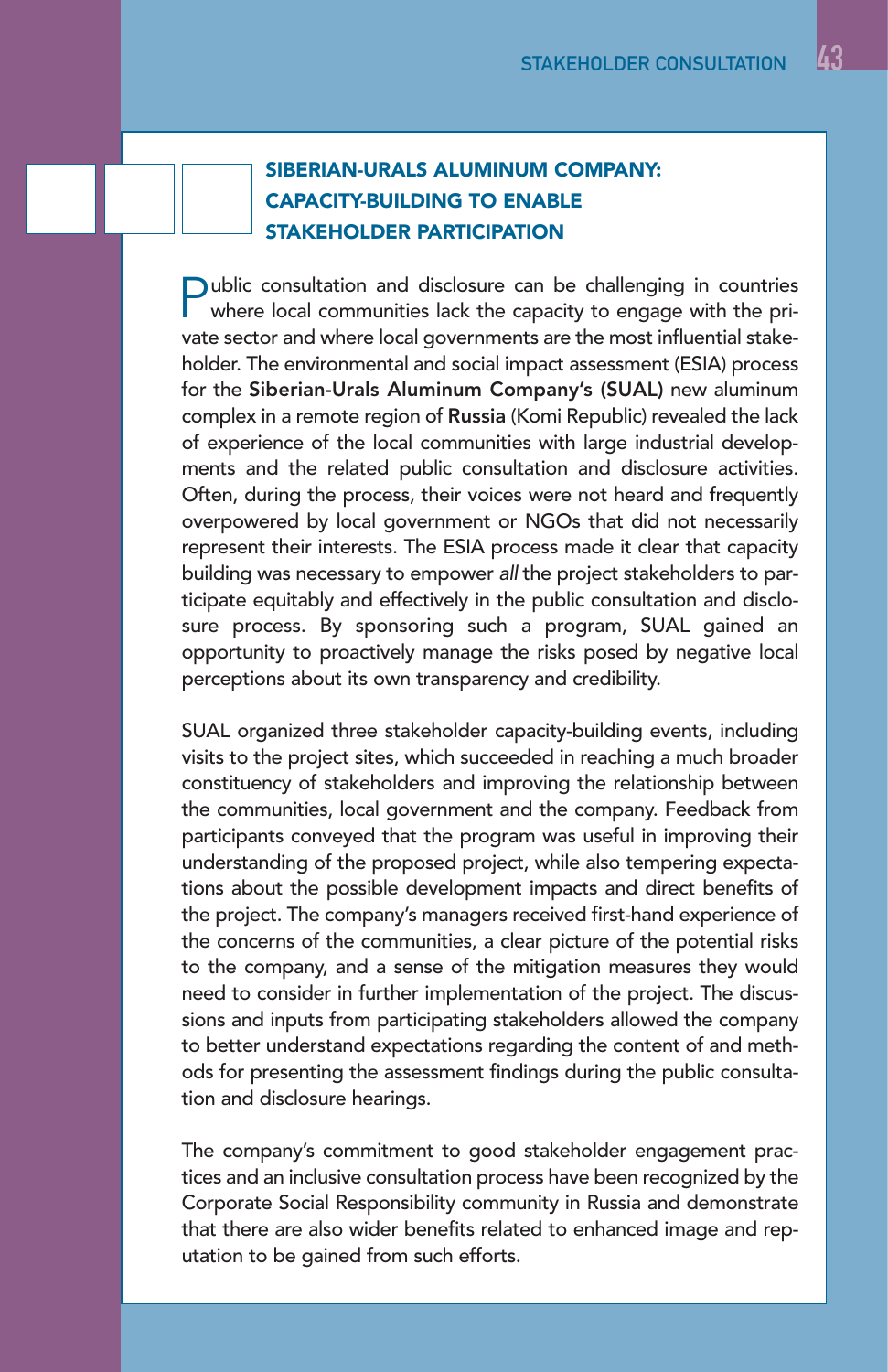### SIBERIAN-URALS ALUMINUM COMPANY: CAPACITY-BUILDING TO ENABLE STAKEHOLDER PARTICIPATION

public consultation and disclosure can be challenging in countries where local communities lack the capacity to engage with the private sector and where local governments are the most influential stakeholder. The environmental and social impact assessment (ESIA) process for the Siberian-Urals Aluminum Company's (SUAL) new aluminum complex in a remote region of Russia (Komi Republic) revealed the lack of experience of the local communities with large industrial developments and the related public consultation and disclosure activities. Often, during the process, their voices were not heard and frequently overpowered by local government or NGOs that did not necessarily represent their interests. The ESIA process made it clear that capacity building was necessary to empower all the project stakeholders to participate equitably and effectively in the public consultation and disclosure process. By sponsoring such a program, SUAL gained an opportunity to proactively manage the risks posed by negative local perceptions about its own transparency and credibility.

SUAL organized three stakeholder capacity-building events, including visits to the project sites, which succeeded in reaching a much broader constituency of stakeholders and improving the relationship between the communities, local government and the company. Feedback from participants conveyed that the program was useful in improving their understanding of the proposed project, while also tempering expectations about the possible development impacts and direct benefits of the project. The company's managers received first-hand experience of the concerns of the communities, a clear picture of the potential risks to the company, and a sense of the mitigation measures they would need to consider in further implementation of the project. The discussions and inputs from participating stakeholders allowed the company to better understand expectations regarding the content of and methods for presenting the assessment findings during the public consultation and disclosure hearings.

The company's commitment to good stakeholder engagement practices and an inclusive consultation process have been recognized by the Corporate Social Responsibility community in Russia and demonstrate that there are also wider benefits related to enhanced image and reputation to be gained from such efforts.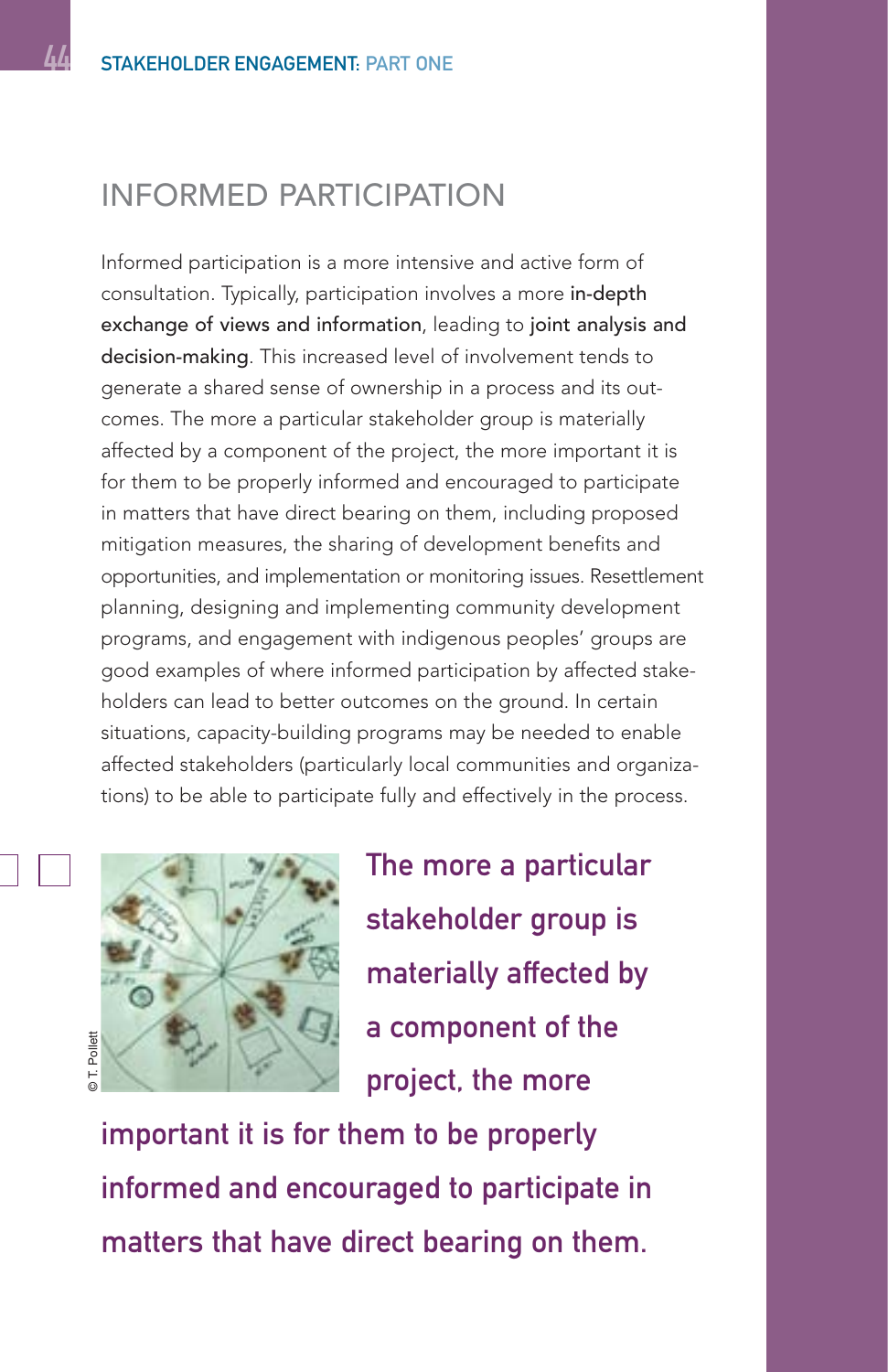### INFORMED PARTICIPATION

Informed participation is a more intensive and active form of consultation. Typically, participation involves a more in-depth exchange of views and information, leading to joint analysis and decision-making. This increased level of involvement tends to generate a shared sense of ownership in a process and its outcomes. The more a particular stakeholder group is materially affected by a component of the project, the more important it is for them to be properly informed and encouraged to participate in matters that have direct bearing on them, including proposed mitigation measures, the sharing of development benefits and opportunities, and implementation or monitoring issues. Resettlement planning, designing and implementing community development programs, and engagement with indigenous peoples' groups are good examples of where informed participation by affected stakeholders can lead to better outcomes on the ground. In certain situations, capacity-building programs may be needed to enable affected stakeholders (particularly local communities and organizations) to be able to participate fully and effectively in the process.



The more a particular stakeholder group is materially affected by a component of the project, the more

important it is for them to be properly informed and encouraged to participate in matters that have direct bearing on them.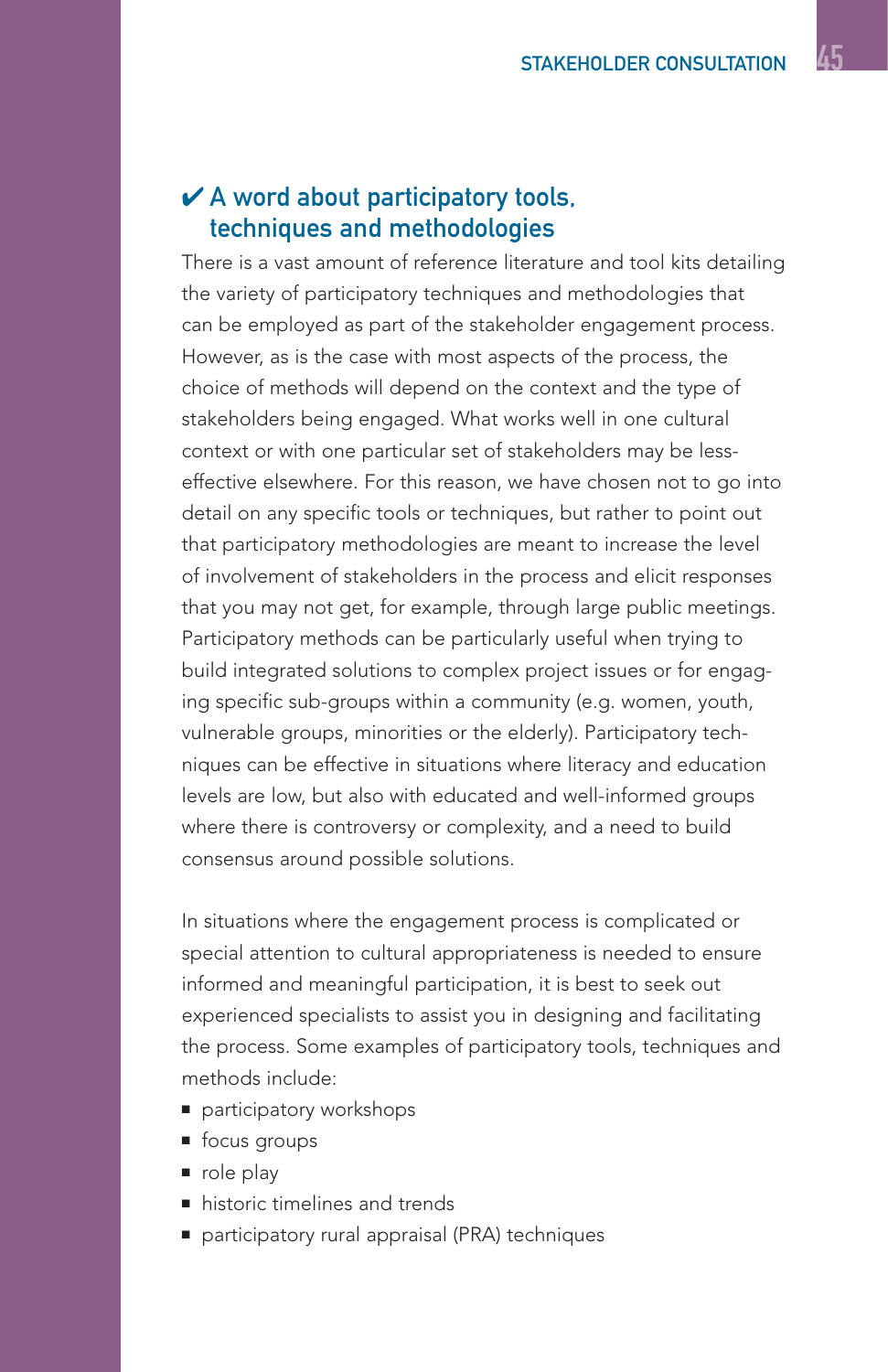### $\boldsymbol{\checkmark}$  A word about participatory tools, techniques and methodologies

There is a vast amount of reference literature and tool kits detailing the variety of participatory techniques and methodologies that can be employed as part of the stakeholder engagement process. However, as is the case with most aspects of the process, the choice of methods will depend on the context and the type of stakeholders being engaged. What works well in one cultural context or with one particular set of stakeholders may be lesseffective elsewhere. For this reason, we have chosen not to go into detail on any specific tools or techniques, but rather to point out that participatory methodologies are meant to increase the level of involvement of stakeholders in the process and elicit responses that you may not get, for example, through large public meetings. Participatory methods can be particularly useful when trying to build integrated solutions to complex project issues or for engaging specific sub-groups within a community (e.g. women, youth, vulnerable groups, minorities or the elderly). Participatory techniques can be effective in situations where literacy and education levels are low, but also with educated and well-informed groups where there is controversy or complexity, and a need to build consensus around possible solutions.

In situations where the engagement process is complicated or special attention to cultural appropriateness is needed to ensure informed and meaningful participation, it is best to seek out experienced specialists to assist you in designing and facilitating the process. Some examples of participatory tools, techniques and methods include:

- participatory workshops
- focus groups
- role play
- historic timelines and trends
- participatory rural appraisal (PRA) techniques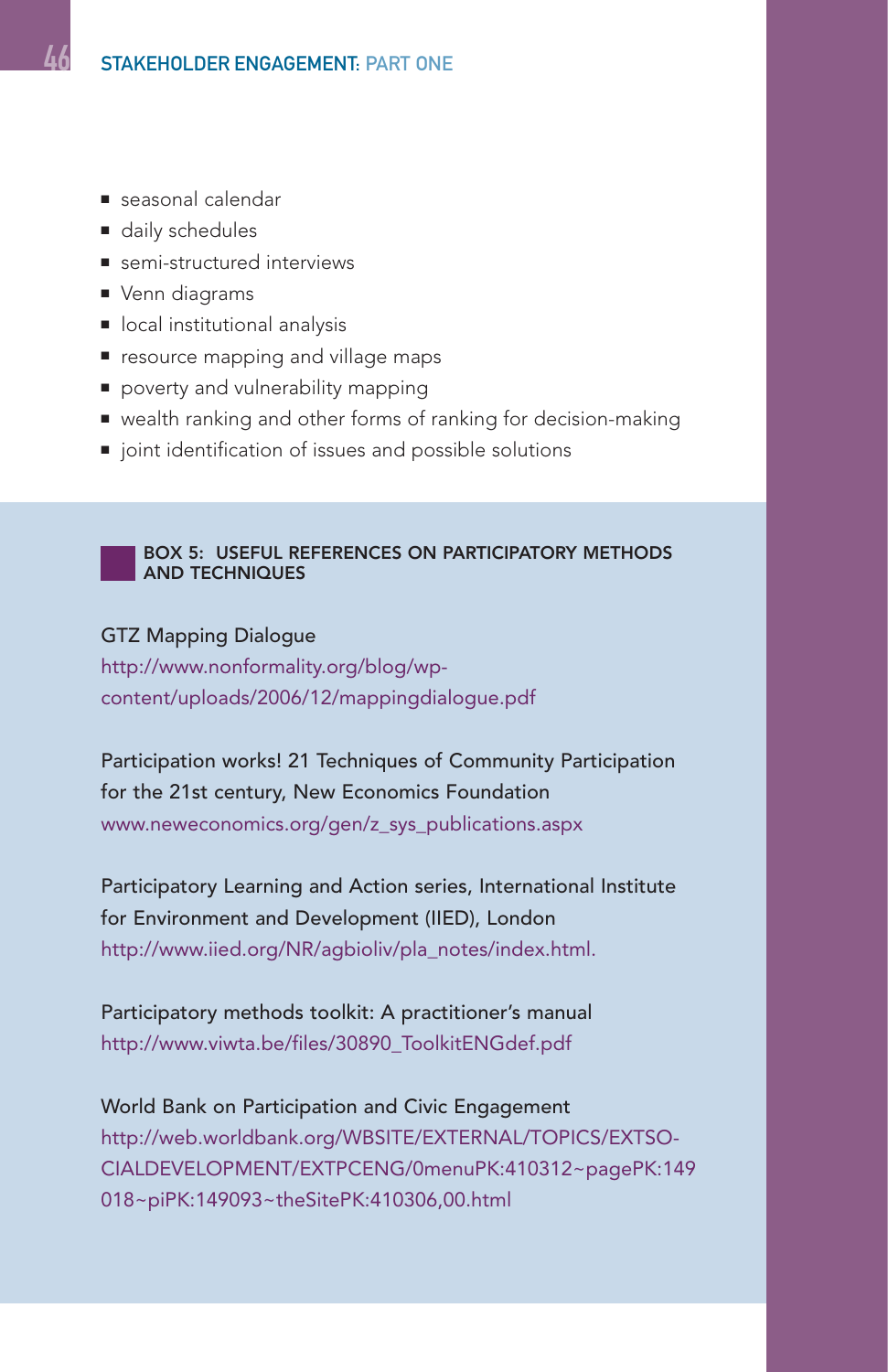- seasonal calendar
- daily schedules
- semi-structured interviews
- Venn diagrams
- local institutional analysis
- resource mapping and village maps
- poverty and vulnerability mapping
- wealth ranking and other forms of ranking for decision-making
- joint identification of issues and possible solutions

#### BOX 5: USEFUL REFERENCES ON PARTICIPATORY METHODS AND TECHNIQUES

#### GTZ Mapping Dialogue

http://www.nonformality.org/blog/wpcontent/uploads/2006/12/mappingdialogue.pdf

Participation works! 21 Techniques of Community Participation for the 21st century, New Economics Foundation www.neweconomics.org/gen/z\_sys\_publications.aspx

Participatory Learning and Action series, International Institute for Environment and Development (IIED), London http://www.iied.org/NR/agbioliv/pla\_notes/index.html.

Participatory methods toolkit: A practitioner's manual http://www.viwta.be/files/30890\_ToolkitENGdef.pdf

World Bank on Participation and Civic Engagement http://web.worldbank.org/WBSITE/EXTERNAL/TOPICS/EXTSO-CIALDEVELOPMENT/EXTPCENG/0menuPK:410312~pagePK:149 018~piPK:149093~theSitePK:410306,00.html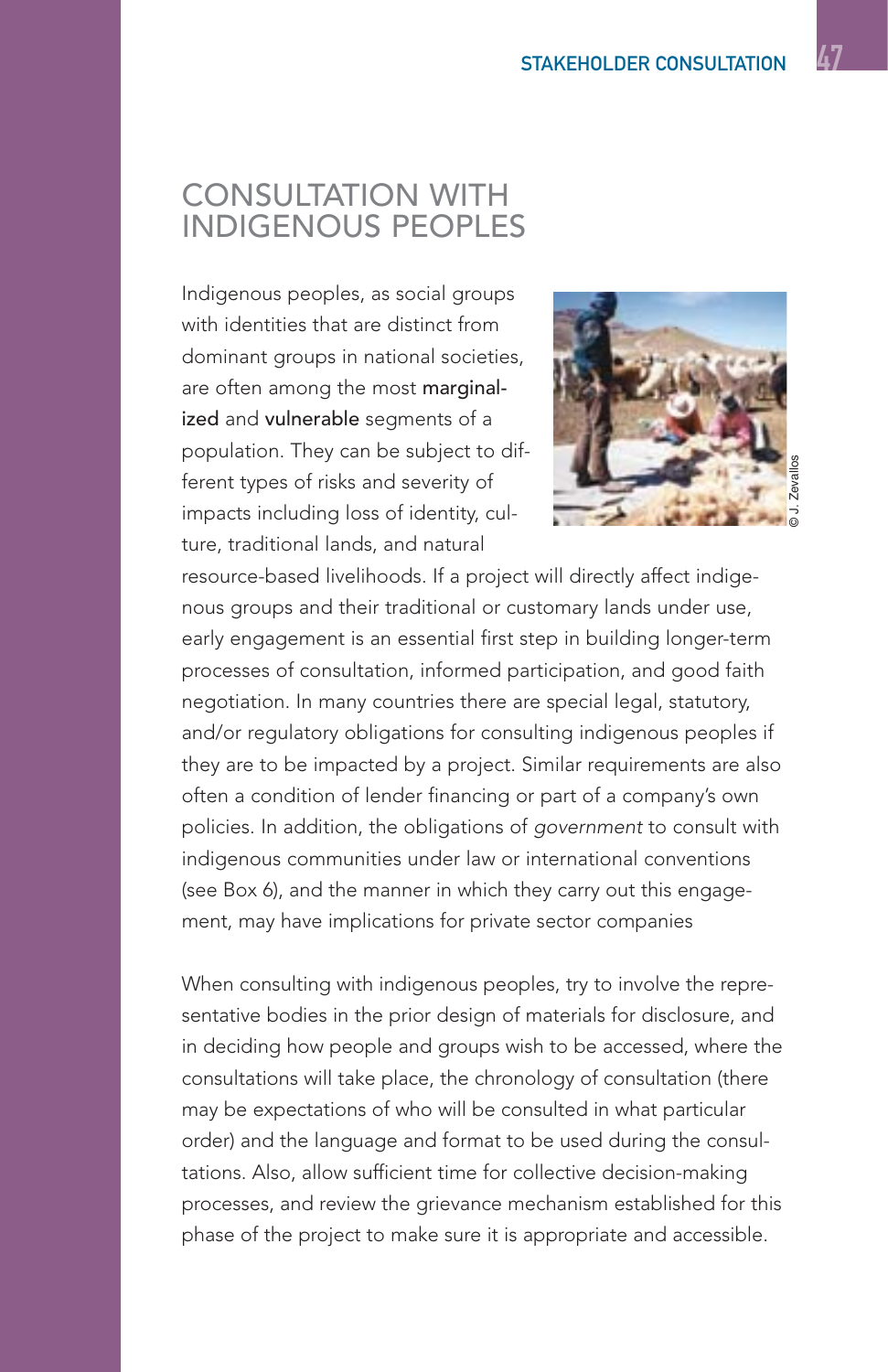### CONSULTATION WITH INDIGENOUS PEOPLES

Indigenous peoples, as social groups with identities that are distinct from dominant groups in national societies, are often among the most marginalized and vulnerable segments of a population. They can be subject to different types of risks and severity of impacts including loss of identity, culture, traditional lands, and natural



resource-based livelihoods. If a project will directly affect indigenous groups and their traditional or customary lands under use, early engagement is an essential first step in building longer-term processes of consultation, informed participation, and good faith negotiation. In many countries there are special legal, statutory, and/or regulatory obligations for consulting indigenous peoples if they are to be impacted by a project. Similar requirements are also often a condition of lender financing or part of a company's own policies. In addition, the obligations of governmen<sup>t</sup> to consult with indigenous communities under law or international conventions (see Box 6), and the manner in which they carry out this engagement, may have implications for private sector companies

When consulting with indigenous peoples, try to involve the representative bodies in the prior design of materials for disclosure, and in deciding how people and groups wish to be accessed, where the consultations will take place, the chronology of consultation (there may be expectations of who will be consulted in what particular order) and the language and format to be used during the consultations. Also, allow sufficient time for collective decision-making processes, and review the grievance mechanism established for this phase of the project to make sure it is appropriate and accessible.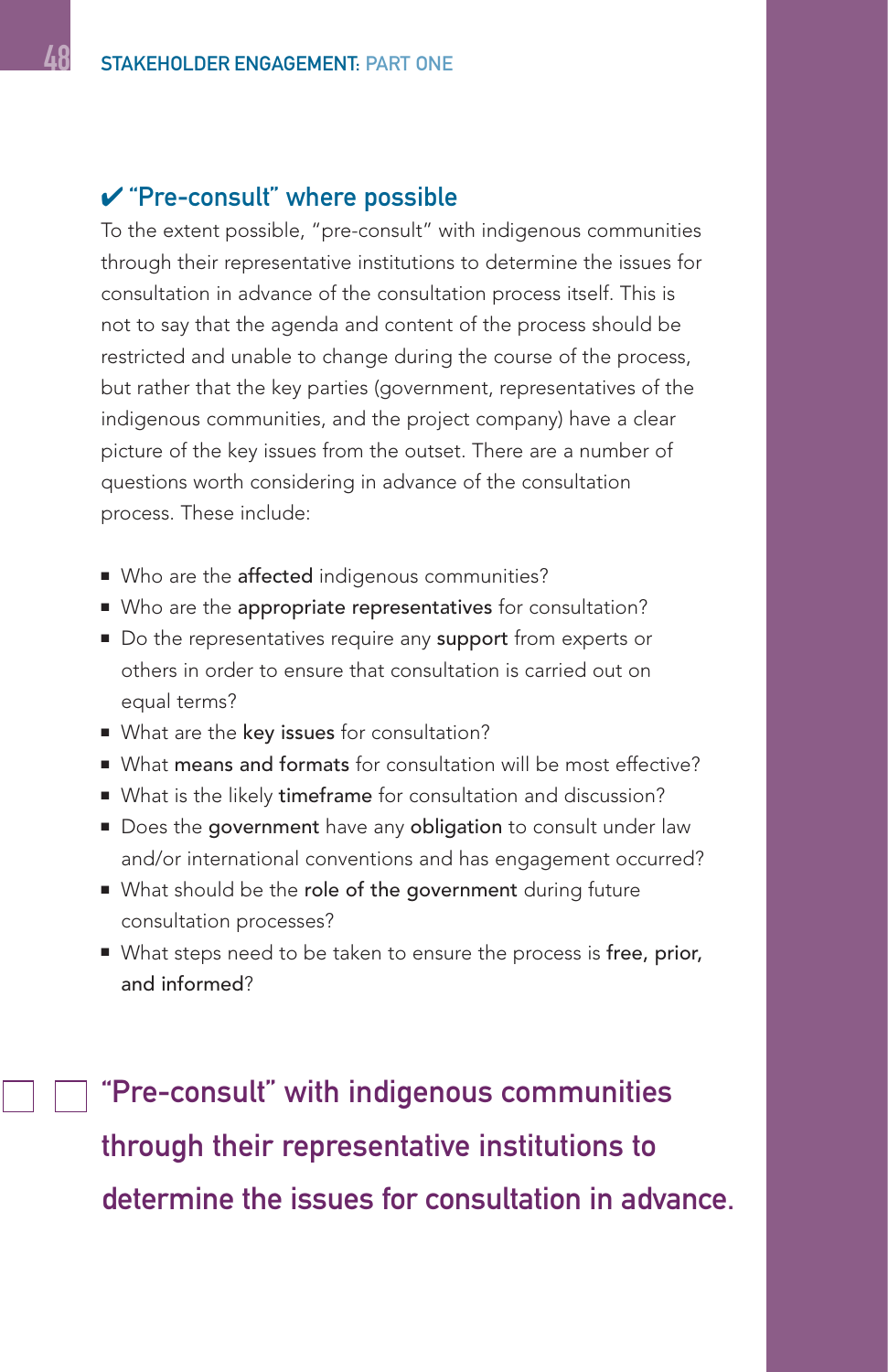### ✔ "Pre-consult" where possible

To the extent possible, "pre-consult" with indigenous communities through their representative institutions to determine the issues for consultation in advance of the consultation process itself. This is not to say that the agenda and content of the process should be restricted and unable to change during the course of the process, but rather that the key parties (government, representatives of the indigenous communities, and the project company) have a clear picture of the key issues from the outset. There are a number of questions worth considering in advance of the consultation process. These include:

- Who are the affected indigenous communities?
- Who are the appropriate representatives for consultation?
- Do the representatives require any support from experts or others in order to ensure that consultation is carried out on equal terms?
- What are the key issues for consultation?
- What means and formats for consultation will be most effective?
- What is the likely timeframe for consultation and discussion?
- Does the government have any obligation to consult under law and/or international conventions and has engagement occurred?
- What should be the role of the government during future consultation processes?
- What steps need to be taken to ensure the process is free, prior, and informed?

"Pre-consult" with indigenous communities through their representative institutions to determine the issues for consultation in advance.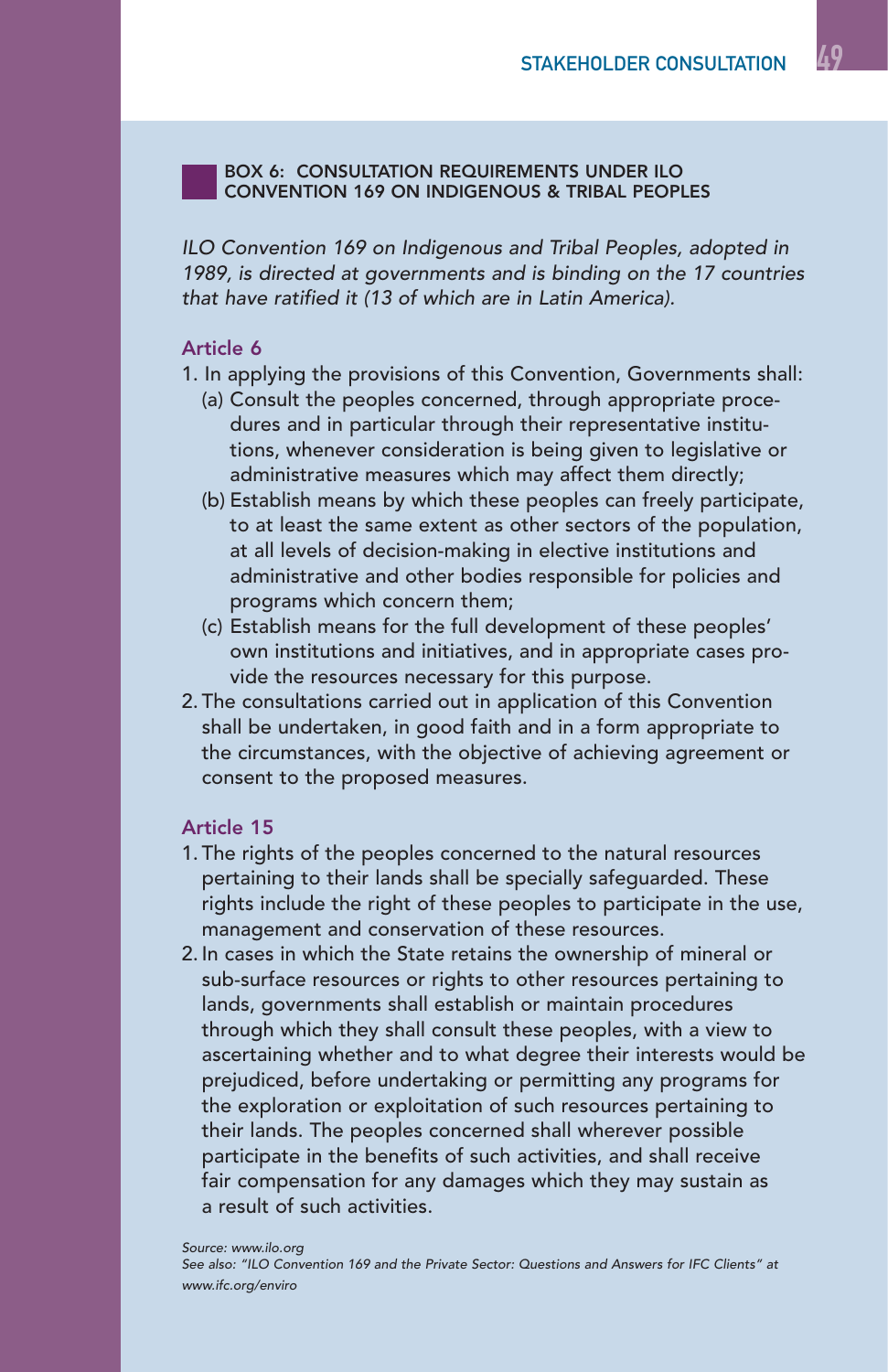#### BOX 6: CONSULTATION REQUIREMENTS UNDER ILO CONVENTION 169 ON INDIGENOUS & TRIBAL PEOPLES

ILO Convention 169 on Indigenous and Tribal Peoples, adopted in 1989, is directed at governments and is binding on the 17 countries that have ratified it (13 of which are in Latin America).

#### Article 6

- 1. In applying the provisions of this Convention, Governments shall:
	- (a) Consult the peoples concerned, through appropriate procedures and in particular through their representative institutions, whenever consideration is being given to legislative or administrative measures which may affect them directly;
	- (b) Establish means by which these peoples can freely participate, to at least the same extent as other sectors of the population, at all levels of decision-making in elective institutions and administrative and other bodies responsible for policies and programs which concern them;
	- (c) Establish means for the full development of these peoples' own institutions and initiatives, and in appropriate cases provide the resources necessary for this purpose.
- 2. The consultations carried out in application of this Convention shall be undertaken, in good faith and in a form appropriate to the circumstances, with the objective of achieving agreement or consent to the proposed measures.

#### Article 15

- 1. The rights of the peoples concerned to the natural resources pertaining to their lands shall be specially safeguarded. These rights include the right of these peoples to participate in the use, management and conservation of these resources.
- 2. In cases in which the State retains the ownership of mineral or sub-surface resources or rights to other resources pertaining to lands, governments shall establish or maintain procedures through which they shall consult these peoples, with a view to ascertaining whether and to what degree their interests would be prejudiced, before undertaking or permitting any programs for the exploration or exploitation of such resources pertaining to their lands. The peoples concerned shall wherever possible participate in the benefits of such activities, and shall receive fair compensation for any damages which they may sustain as a result of such activities.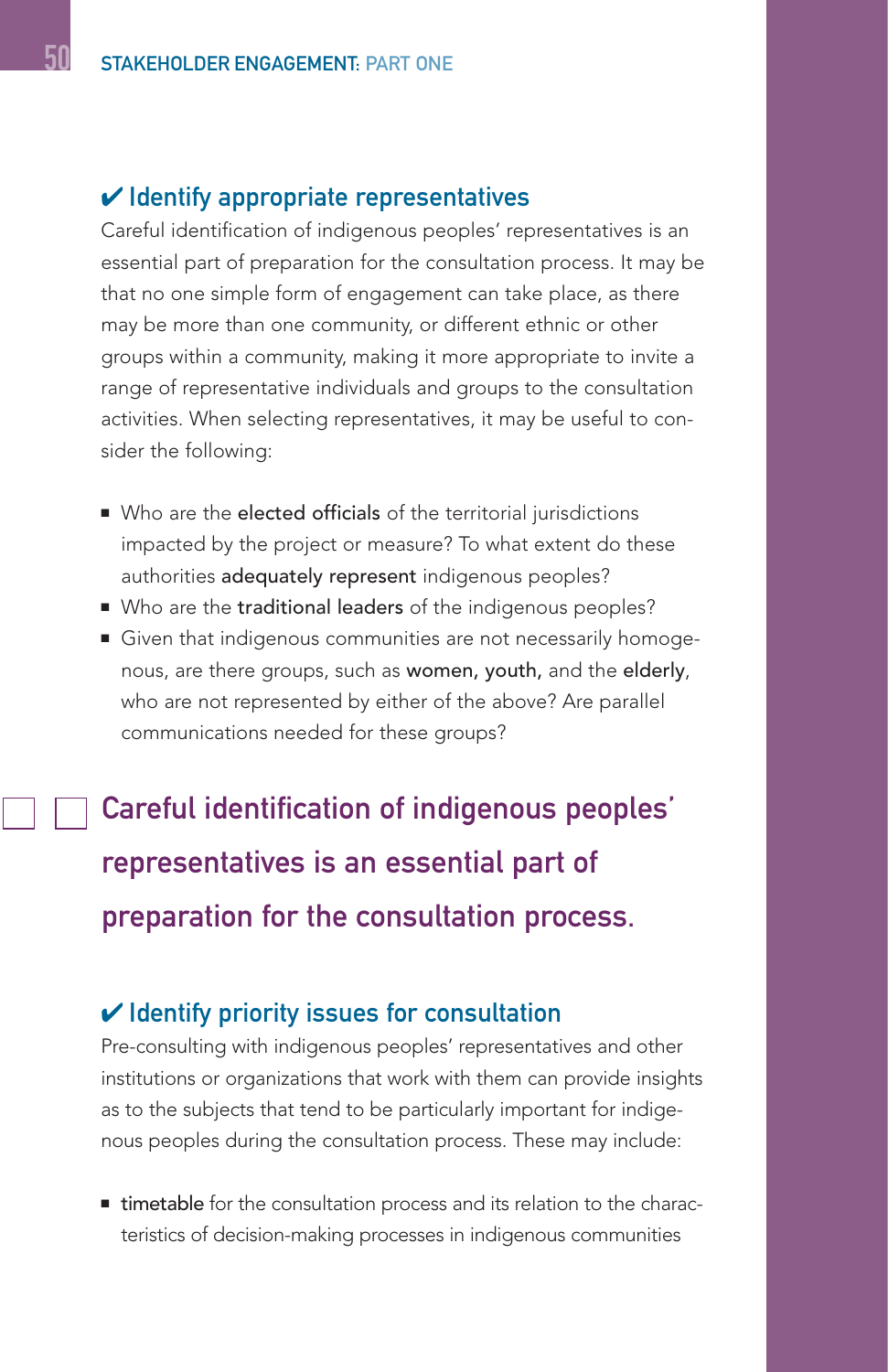#### $\boldsymbol{\nu}$  Identify appropriate representatives

Careful identification of indigenous peoples' representatives is an essential part of preparation for the consultation process. It may be that no one simple form of engagement can take place, as there may be more than one community, or different ethnic or other groups within a community, making it more appropriate to invite a range of representative individuals and groups to the consultation activities. When selecting representatives, it may be useful to consider the following:

- Who are the elected officials of the territorial jurisdictions impacted by the project or measure? To what extent do these authorities adequately represent indigenous peoples?
- Who are the traditional leaders of the indigenous peoples?
- Given that indigenous communities are not necessarily homogenous, are there groups, such as women, youth, and the elderly, who are not represented by either of the above? Are parallel communications needed for these groups?

Careful identification of indigenous peoples' representatives is an essential part of preparation for the consultation process.

#### $\boldsymbol{\checkmark}$  Identify priority issues for consultation

Pre-consulting with indigenous peoples' representatives and other institutions or organizations that work with them can provide insights as to the subjects that tend to be particularly important for indigenous peoples during the consultation process. These may include:

■ timetable for the consultation process and its relation to the characteristics of decision-making processes in indigenous communities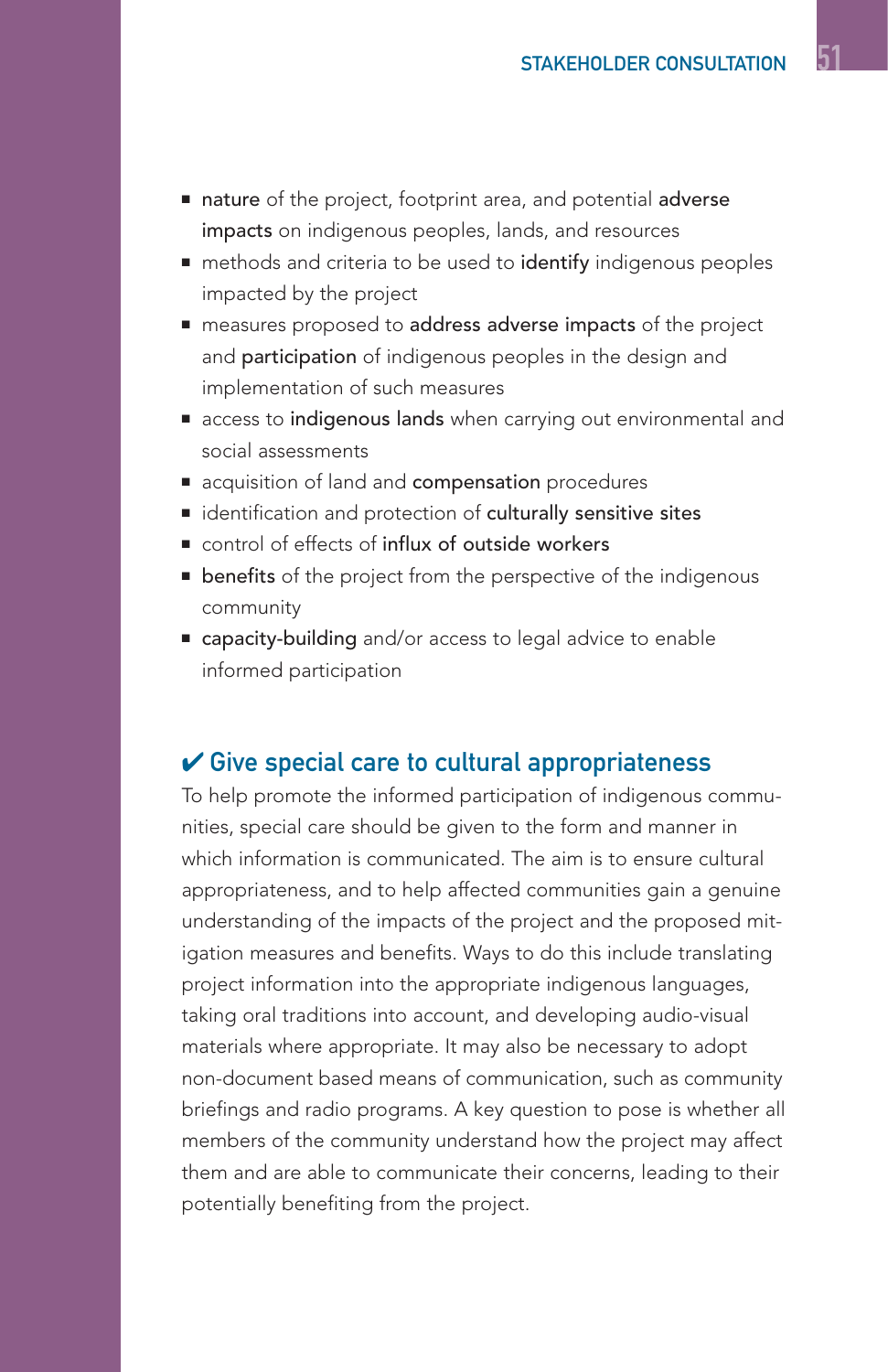- nature of the project, footprint area, and potential adverse impacts on indigenous peoples, lands, and resources
- methods and criteria to be used to identify indigenous peoples impacted by the project
- measures proposed to address adverse impacts of the project and participation of indigenous peoples in the design and implementation of such measures
- access to indigenous lands when carrying out environmental and social assessments
- acquisition of land and compensation procedures
- identification and protection of culturally sensitive sites
- control of effects of influx of outside workers
- benefits of the project from the perspective of the indigenous community
- capacity-building and/or access to legal advice to enable informed participation

### $\vee$  Give special care to cultural appropriateness

To help promote the informed participation of indigenous communities, special care should be given to the form and manner in which information is communicated. The aim is to ensure cultural appropriateness, and to help affected communities gain a genuine understanding of the impacts of the project and the proposed mitigation measures and benefits. Ways to do this include translating project information into the appropriate indigenous languages, taking oral traditions into account, and developing audio-visual materials where appropriate. It may also be necessary to adopt non-document based means of communication, such as community briefings and radio programs. A key question to pose is whether all members of the community understand how the project may affect them and are able to communicate their concerns, leading to their potentially benefiting from the project.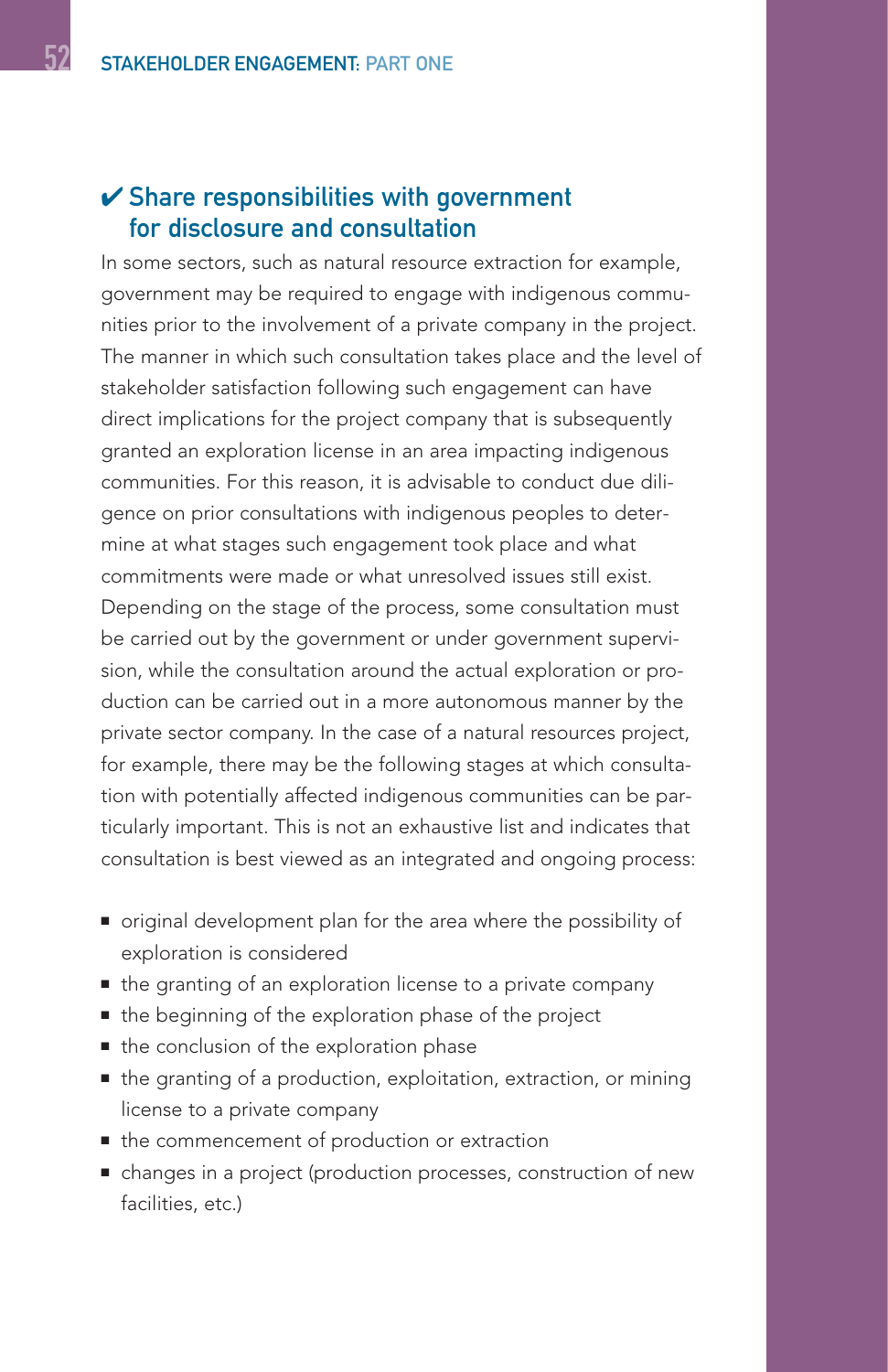### $\boldsymbol{\nu}$  Share responsibilities with government for disclosure and consultation

In some sectors, such as natural resource extraction for example, government may be required to engage with indigenous communities prior to the involvement of a private company in the project. The manner in which such consultation takes place and the level of stakeholder satisfaction following such engagement can have direct implications for the project company that is subsequently granted an exploration license in an area impacting indigenous communities. For this reason, it is advisable to conduct due diligence on prior consultations with indigenous peoples to determine at what stages such engagement took place and what commitments were made or what unresolved issues still exist. Depending on the stage of the process, some consultation must be carried out by the government or under government supervision, while the consultation around the actual exploration or production can be carried out in a more autonomous manner by the private sector company. In the case of a natural resources project, for example, there may be the following stages at which consultation with potentially affected indigenous communities can be particularly important. This is not an exhaustive list and indicates that consultation is best viewed as an integrated and ongoing process:

- original development plan for the area where the possibility of exploration is considered
- the granting of an exploration license to a private company
- the beginning of the exploration phase of the project
- the conclusion of the exploration phase
- the granting of a production, exploitation, extraction, or mining license to a private company
- the commencement of production or extraction
- changes in a project (production processes, construction of new facilities, etc.)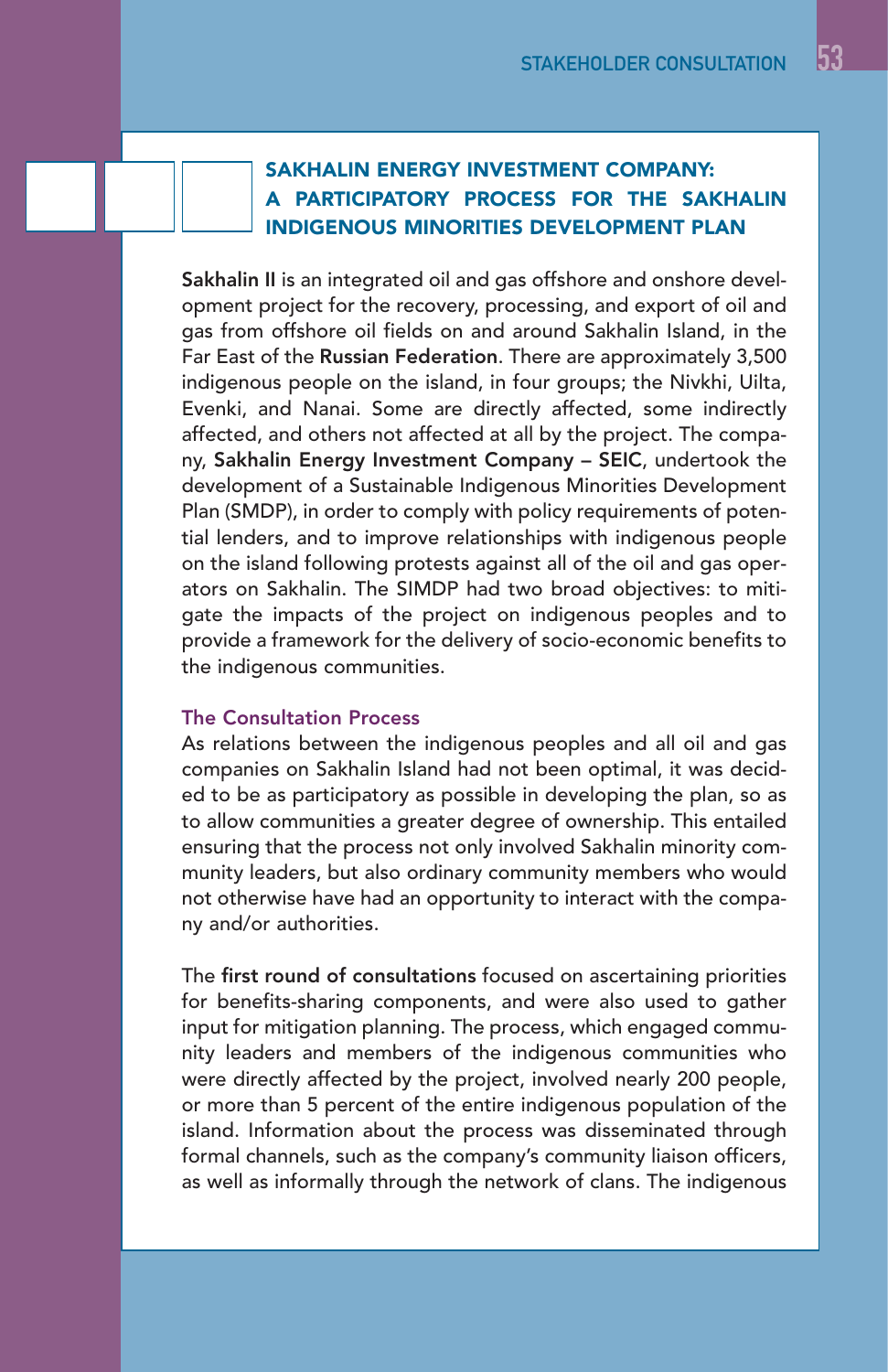#### SAKHALIN ENERGY INVESTMENT COMPANY: A PARTICIPATORY PROCESS FOR THE SAKHALIN INDIGENOUS MINORITIES DEVELOPMENT PLAN

Sakhalin II is an integrated oil and gas offshore and onshore development project for the recovery, processing, and export of oil and gas from offshore oil fields on and around Sakhalin Island, in the Far East of the Russian Federation. There are approximately 3,500 indigenous people on the island, in four groups; the Nivkhi, Uilta, Evenki, and Nanai. Some are directly affected, some indirectly affected, and others not affected at all by the project. The company, Sakhalin Energy Investment Company – SEIC, undertook the development of a Sustainable Indigenous Minorities Development Plan (SMDP), in order to comply with policy requirements of potential lenders, and to improve relationships with indigenous people on the island following protests against all of the oil and gas operators on Sakhalin. The SIMDP had two broad objectives: to mitigate the impacts of the project on indigenous peoples and to provide a framework for the delivery of socio-economic benefits to the indigenous communities.

#### The Consultation Process

As relations between the indigenous peoples and all oil and gas companies on Sakhalin Island had not been optimal, it was decided to be as participatory as possible in developing the plan, so as to allow communities a greater degree of ownership. This entailed ensuring that the process not only involved Sakhalin minority community leaders, but also ordinary community members who would not otherwise have had an opportunity to interact with the company and/or authorities.

The first round of consultations focused on ascertaining priorities for benefits-sharing components, and were also used to gather input for mitigation planning. The process, which engaged community leaders and members of the indigenous communities who were directly affected by the project, involved nearly 200 people, or more than 5 percent of the entire indigenous population of the island. Information about the process was disseminated through formal channels, such as the company's community liaison officers, as well as informally through the network of clans. The indigenous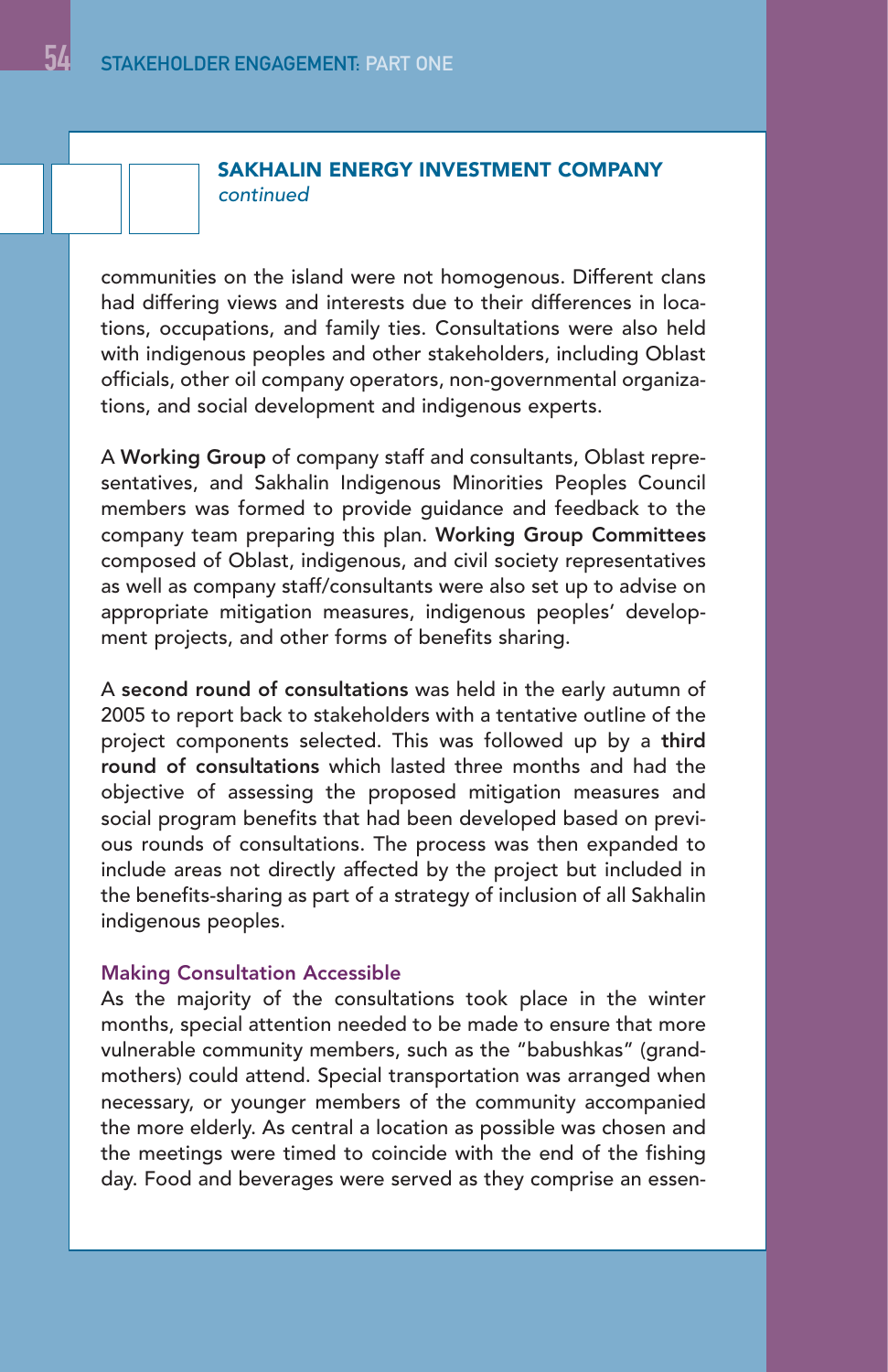#### SAKHALIN ENERGY INVESTMENT COMPANY continued

communities on the island were not homogenous. Different clans had differing views and interests due to their differences in locations, occupations, and family ties. Consultations were also held with indigenous peoples and other stakeholders, including Oblast officials, other oil company operators, non-governmental organizations, and social development and indigenous experts.

A Working Group of company staff and consultants, Oblast representatives, and Sakhalin Indigenous Minorities Peoples Council members was formed to provide guidance and feedback to the company team preparing this plan. Working Group Committees composed of Oblast, indigenous, and civil society representatives as well as company staff/consultants were also set up to advise on appropriate mitigation measures, indigenous peoples' development projects, and other forms of benefits sharing.

A second round of consultations was held in the early autumn of 2005 to report back to stakeholders with a tentative outline of the project components selected. This was followed up by a third round of consultations which lasted three months and had the objective of assessing the proposed mitigation measures and social program benefits that had been developed based on previous rounds of consultations. The process was then expanded to include areas not directly affected by the project but included in the benefits-sharing as part of a strategy of inclusion of all Sakhalin indigenous peoples.

#### Making Consultation Accessible

As the majority of the consultations took place in the winter months, special attention needed to be made to ensure that more vulnerable community members, such as the "babushkas" (grandmothers) could attend. Special transportation was arranged when necessary, or younger members of the community accompanied the more elderly. As central a location as possible was chosen and the meetings were timed to coincide with the end of the fishing day. Food and beverages were served as they comprise an essen-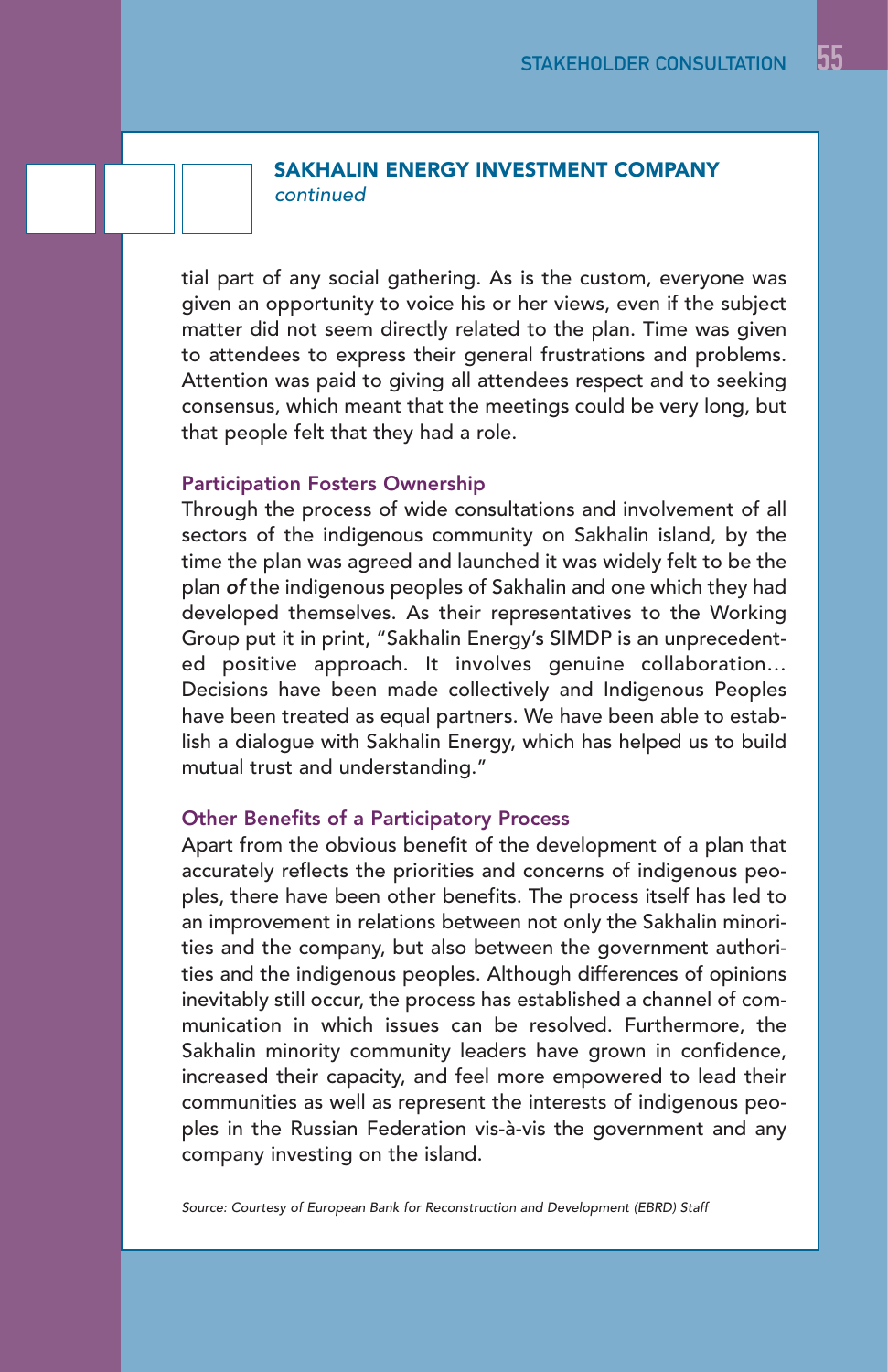#### SAKHALIN ENERGY INVESTMENT COMPANY continued

tial part of any social gathering. As is the custom, everyone was given an opportunity to voice his or her views, even if the subject matter did not seem directly related to the plan. Time was given to attendees to express their general frustrations and problems. Attention was paid to giving all attendees respect and to seeking consensus, which meant that the meetings could be very long, but that people felt that they had a role.

#### Participation Fosters Ownership

Through the process of wide consultations and involvement of all sectors of the indigenous community on Sakhalin island, by the time the plan was agreed and launched it was widely felt to be the plan of the indigenous peoples of Sakhalin and one which they had developed themselves. As their representatives to the Working Group put it in print, "Sakhalin Energy's SIMDP is an unprecedented positive approach. It involves genuine collaboration… Decisions have been made collectively and Indigenous Peoples have been treated as equal partners. We have been able to establish a dialogue with Sakhalin Energy, which has helped us to build mutual trust and understanding."

#### Other Benefits of a Participatory Process

Apart from the obvious benefit of the development of a plan that accurately reflects the priorities and concerns of indigenous peoples, there have been other benefits. The process itself has led to an improvement in relations between not only the Sakhalin minorities and the company, but also between the government authorities and the indigenous peoples. Although differences of opinions inevitably still occur, the process has established a channel of communication in which issues can be resolved. Furthermore, the Sakhalin minority community leaders have grown in confidence, increased their capacity, and feel more empowered to lead their communities as well as represent the interests of indigenous peoples in the Russian Federation vis-à-vis the government and any company investing on the island.

Source: Courtesy of European Bank for Reconstruction and Development (EBRD) Staff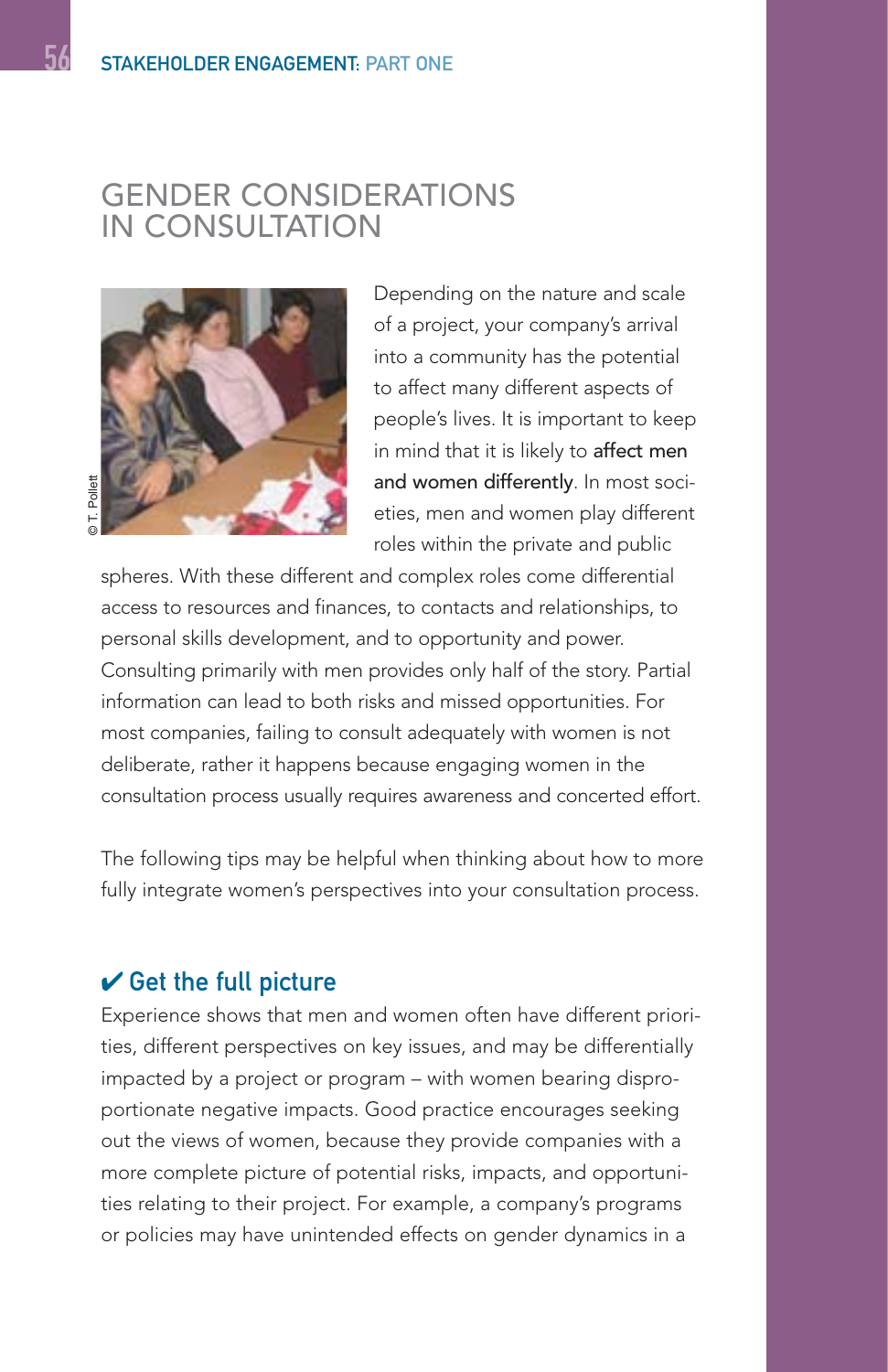### GENDER CONSIDERATIONS IN CONSULTATION



Depending on the nature and scale of a project, your company's arrival into a community has the potential to affect many different aspects of people's lives. It is important to keep in mind that it is likely to affect men and women differently. In most societies, men and women play different roles within the private and public

spheres. With these different and complex roles come differential access to resources and finances, to contacts and relationships, to personal skills development, and to opportunity and power. Consulting primarily with men provides only half of the story. Partial information can lead to both risks and missed opportunities. For most companies, failing to consult adequately with women is not deliberate, rather it happens because engaging women in the consultation process usually requires awareness and concerted effort.

The following tips may be helpful when thinking about how to more fully integrate women's perspectives into your consultation process.

### $\vee$  Get the full picture

Experience shows that men and women often have different priorities, different perspectives on key issues, and may be differentially impacted by a project or program – with women bearing disproportionate negative impacts. Good practice encourages seeking out the views of women, because they provide companies with a more complete picture of potential risks, impacts, and opportunities relating to their project. For example, a company's programs or policies may have unintended effects on gender dynamics in a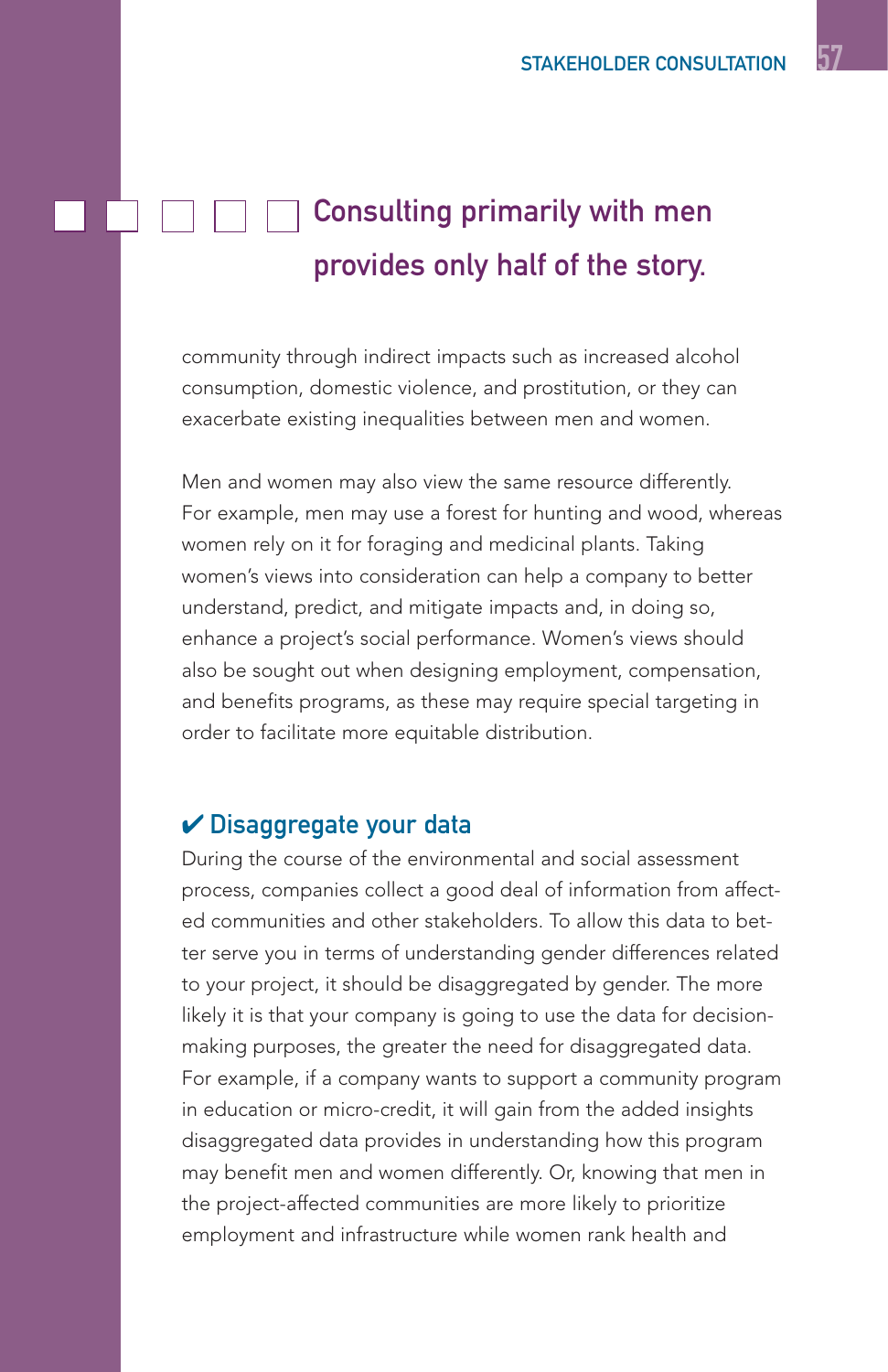## Consulting primarily with men provides only half of the story.

community through indirect impacts such as increased alcohol consumption, domestic violence, and prostitution, or they can exacerbate existing inequalities between men and women.

Men and women may also view the same resource differently. For example, men may use a forest for hunting and wood, whereas women rely on it for foraging and medicinal plants. Taking women's views into consideration can help a company to better understand, predict, and mitigate impacts and, in doing so, enhance a project's social performance. Women's views should also be sought out when designing employment, compensation, and benefits programs, as these may require special targeting in order to facilitate more equitable distribution.

### ✔ Disaggregate your data

During the course of the environmental and social assessment process, companies collect a good deal of information from affected communities and other stakeholders. To allow this data to better serve you in terms of understanding gender differences related to your project, it should be disaggregated by gender. The more likely it is that your company is going to use the data for decisionmaking purposes, the greater the need for disaggregated data. For example, if a company wants to support a community program in education or micro-credit, it will gain from the added insights disaggregated data provides in understanding how this program may benefit men and women differently. Or, knowing that men in the project-affected communities are more likely to prioritize employment and infrastructure while women rank health and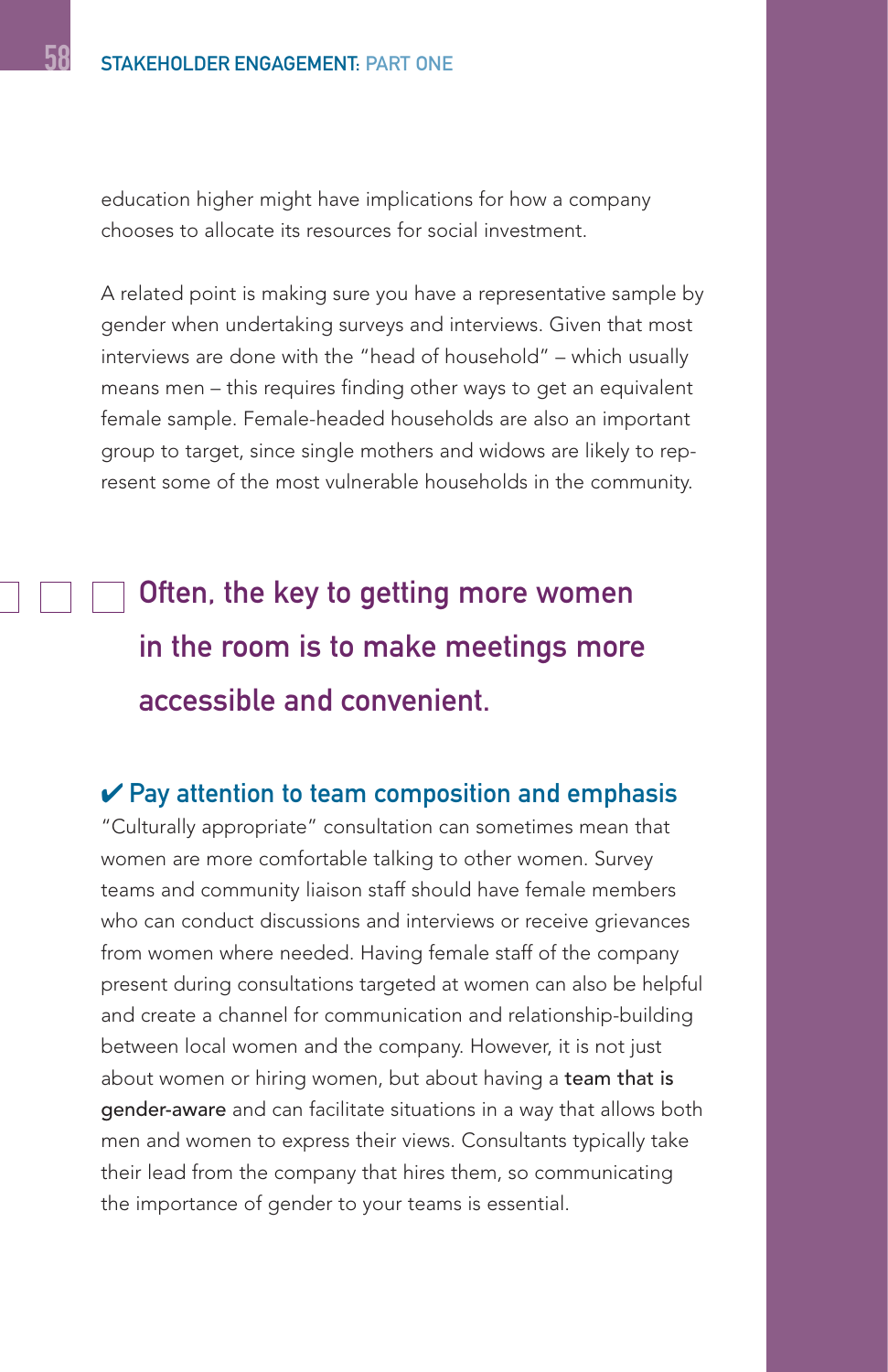education higher might have implications for how a company chooses to allocate its resources for social investment.

A related point is making sure you have a representative sample by gender when undertaking surveys and interviews. Given that most interviews are done with the "head of household" – which usually means men – this requires finding other ways to get an equivalent female sample. Female-headed households are also an important group to target, since single mothers and widows are likely to represent some of the most vulnerable households in the community.

## Often, the key to getting more women in the room is to make meetings more accessible and convenient.

#### $\vee$  Pay attention to team composition and emphasis

"Culturally appropriate" consultation can sometimes mean that women are more comfortable talking to other women. Survey teams and community liaison staff should have female members who can conduct discussions and interviews or receive grievances from women where needed. Having female staff of the company present during consultations targeted at women can also be helpful and create a channel for communication and relationship-building between local women and the company. However, it is not just about women or hiring women, but about having a team that is gender-aware and can facilitate situations in a way that allows both men and women to express their views. Consultants typically take their lead from the company that hires them, so communicating the importance of gender to your teams is essential.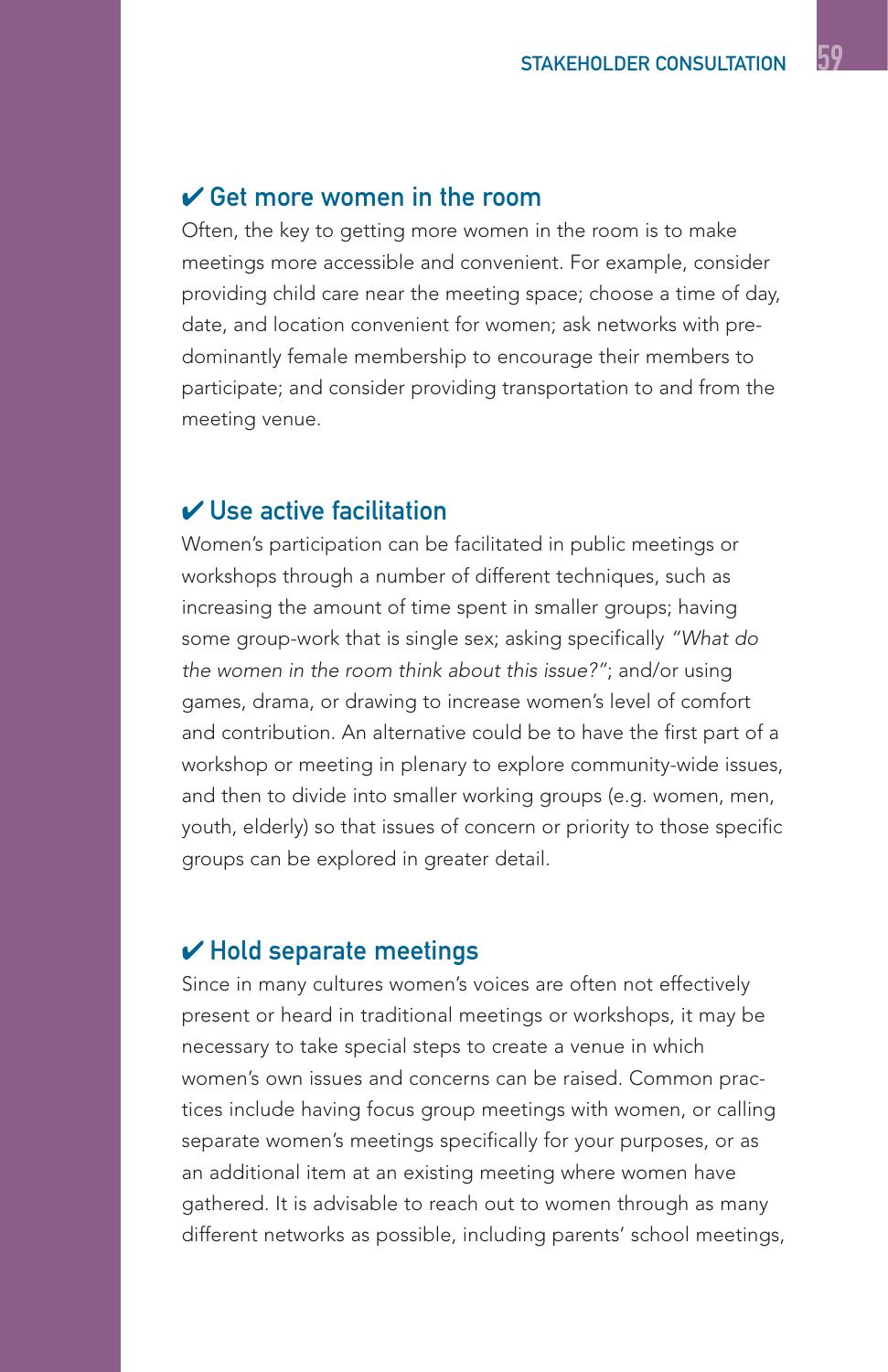#### $\vee$  Get more women in the room

Often, the key to getting more women in the room is to make meetings more accessible and convenient. For example, consider providing child care near the meeting space; choose a time of day, date, and location convenient for women; ask networks with predominantly female membership to encourage their members to participate; and consider providing transportation to and from the meeting venue.

#### $\vee$  Use active facilitation

Women's participation can be facilitated in public meetings or workshops through a number of different techniques, such as increasing the amount of time spent in smaller groups; having some group-work that is single sex; asking specifically "What do the women in the room think about this issue?"; and/or using games, drama, or drawing to increase women's level of comfort and contribution. An alternative could be to have the first part of a workshop or meeting in plenary to explore community-wide issues, and then to divide into smaller working groups (e.g. women, men, youth, elderly) so that issues of concern or priority to those specific groups can be explored in greater detail.

### $V$  Hold separate meetings

Since in many cultures women's voices are often not effectively present or heard in traditional meetings or workshops, it may be necessary to take special steps to create a venue in which women's own issues and concerns can be raised. Common practices include having focus group meetings with women, or calling separate women's meetings specifically for your purposes, or as an additional item at an existing meeting where women have gathered. It is advisable to reach out to women through as many different networks as possible, including parents' school meetings,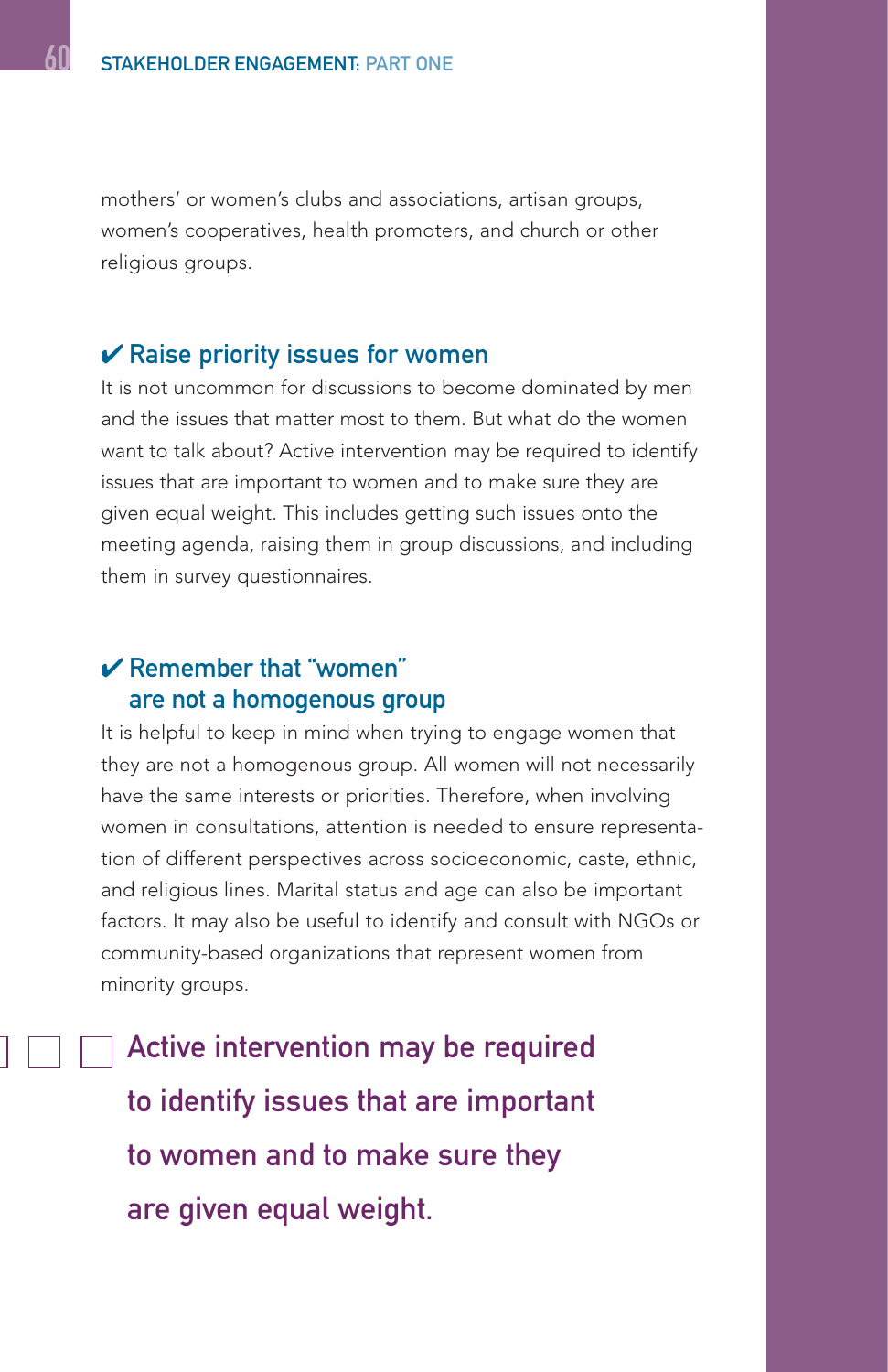mothers' or women's clubs and associations, artisan groups, women's cooperatives, health promoters, and church or other religious groups.

#### $\boldsymbol{\nu}$  Raise priority issues for women

It is not uncommon for discussions to become dominated by men and the issues that matter most to them. But what do the women want to talk about? Active intervention may be required to identify issues that are important to women and to make sure they are given equal weight. This includes getting such issues onto the meeting agenda, raising them in group discussions, and including them in survey questionnaires.

### ✔ Remember that "women" are not a homogenous group

It is helpful to keep in mind when trying to engage women that they are not a homogenous group. All women will not necessarily have the same interests or priorities. Therefore, when involving women in consultations, attention is needed to ensure representation of different perspectives across socioeconomic, caste, ethnic, and religious lines. Marital status and age can also be important factors. It may also be useful to identify and consult with NGOs or community-based organizations that represent women from minority groups.

Active intervention may be required

to identify issues that are important to women and to make sure they are given equal weight.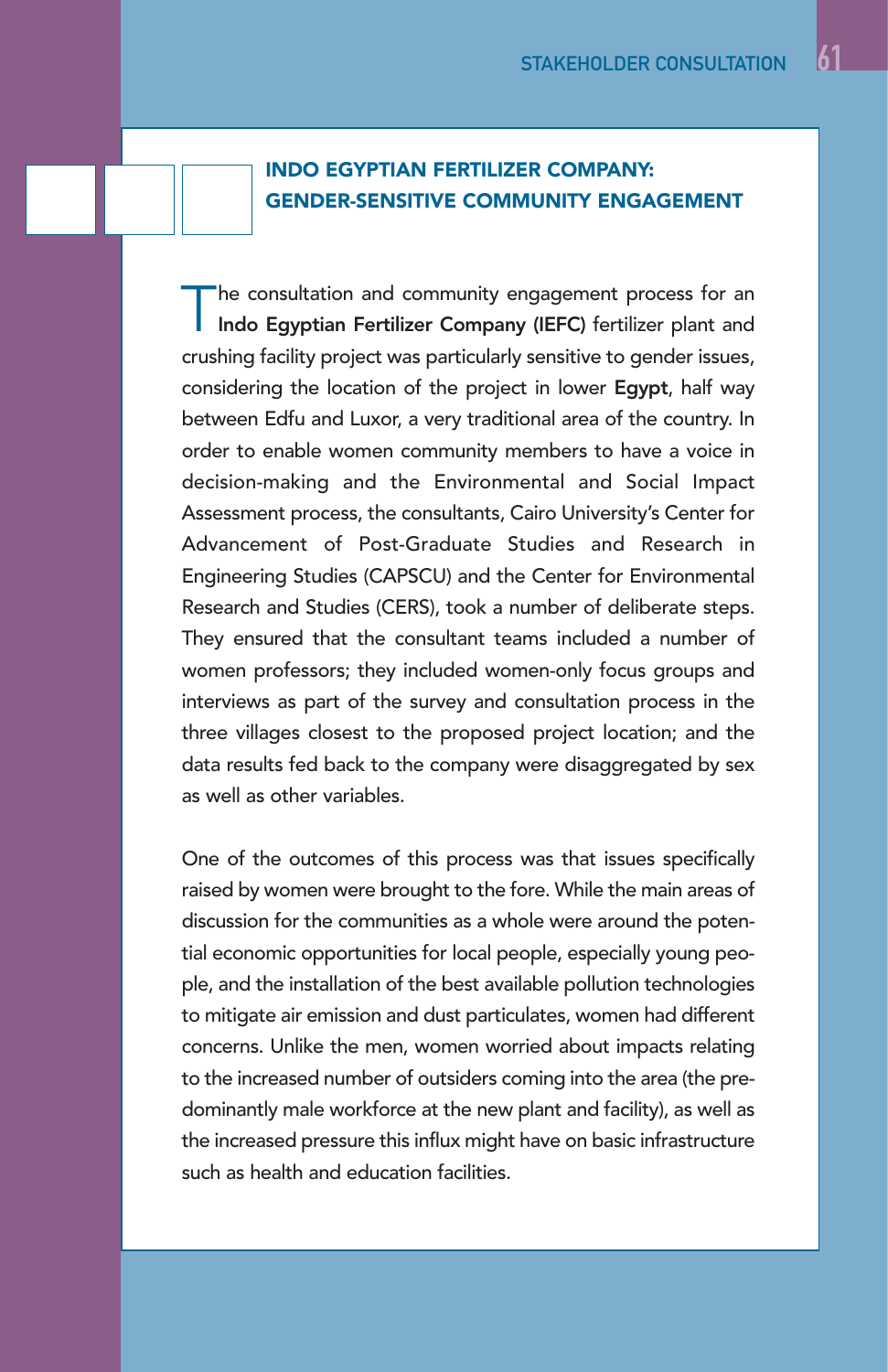### INDO EGYPTIAN FERTILIZER COMPANY: GENDER-SENSITIVE COMMUNITY ENGAGEMENT

The consultation and community engagement process for an<br>
Indo Egyptian Fertilizer Company (IEFC) fertilizer plant and crushing facility project was particularly sensitive to gender issues, considering the location of the project in lower Egypt, half way between Edfu and Luxor, a very traditional area of the country. In order to enable women community members to have a voice in decision-making and the Environmental and Social Impact Assessment process, the consultants, Cairo University's Center for Advancement of Post-Graduate Studies and Research in Engineering Studies (CAPSCU) and the Center for Environmental Research and Studies (CERS), took a number of deliberate steps. They ensured that the consultant teams included a number of women professors; they included women-only focus groups and interviews as part of the survey and consultation process in the three villages closest to the proposed project location; and the data results fed back to the company were disaggregated by sex as well as other variables.

One of the outcomes of this process was that issues specifically raised by women were brought to the fore. While the main areas of discussion for the communities as a whole were around the potential economic opportunities for local people, especially young people, and the installation of the best available pollution technologies to mitigate air emission and dust particulates, women had different concerns. Unlike the men, women worried about impacts relating to the increased number of outsiders coming into the area (the predominantly male workforce at the new plant and facility), as well as the increased pressure this influx might have on basic infrastructure such as health and education facilities.